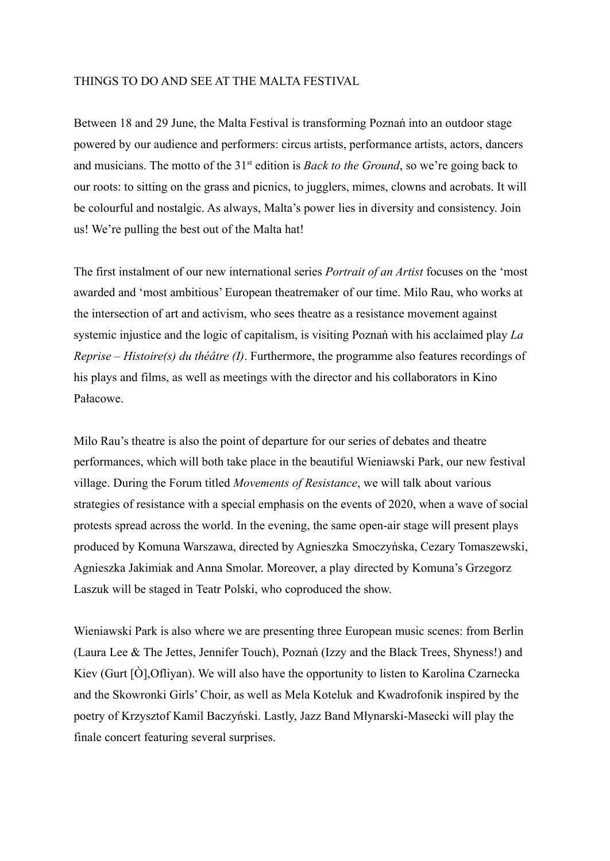### THINGS TO DO AND SEE AT THE MALTA FESTIVAL

Between 18 and 29 June, the Malta Festival is transforming Poznań into an outdoor stage powered by our audience and performers: circus artists, performance artists, actors, dancers and musicians. The motto of the 31st edition is *Back to the Ground*, so we're going back to our roots: to sitting on the grass and picnics, to jugglers, mimes, clowns and acrobats. It will be colourful and nostalgic. As always, Malta's power lies in diversity and consistency. Join us! We're pulling the best out of the Malta hat!

The first instalment of our new international series *Portrait of an Artist* focuses on the 'most awarded and 'most ambitious' European theatremaker of our time. Milo Rau, who works at the intersection of art and activism, who sees theatre as a resistance movement against systemic injustice and the logic of capitalism, is visiting Poznań with his acclaimed play *La Reprise – Histoire(s) du théâtre (I)*. Furthermore, the programme also features recordings of his plays and films, as well as meetings with the director and his collaborators in Kino Pałacowe.

Milo Rau's theatre is also the point of departure for our series of debates and theatre performances, which will both take place in the beautiful Wieniawski Park, our new festival village. During the Forum titled *Movements of Resistance*, we will talk about various strategies of resistance with a special emphasis on the events of 2020, when a wave of social protests spread across the world. In the evening, the same open-air stage will present plays produced by Komuna Warszawa, directed by Agnieszka Smoczyńska, Cezary Tomaszewski, Agnieszka Jakimiak and Anna Smolar. Moreover, a play directed by Komuna's Grzegorz Laszuk will be staged in Teatr Polski, who coproduced the show.

Wieniawski Park is also where we are presenting three European music scenes: from Berlin (Laura Lee & The Jettes, Jennifer Touch), Poznań (Izzy and the Black Trees, Shyness!) and Kiev (Gurt [Ò],Ofliyan). We will also have the opportunity to listen to Karolina Czarnecka and the Skowronki Girls' Choir, as well as Mela Koteluk and Kwadrofonik inspired by the poetry of Krzysztof Kamil Baczyński. Lastly, Jazz Band Młynarski-Masecki will play the finale concert featuring several surprises.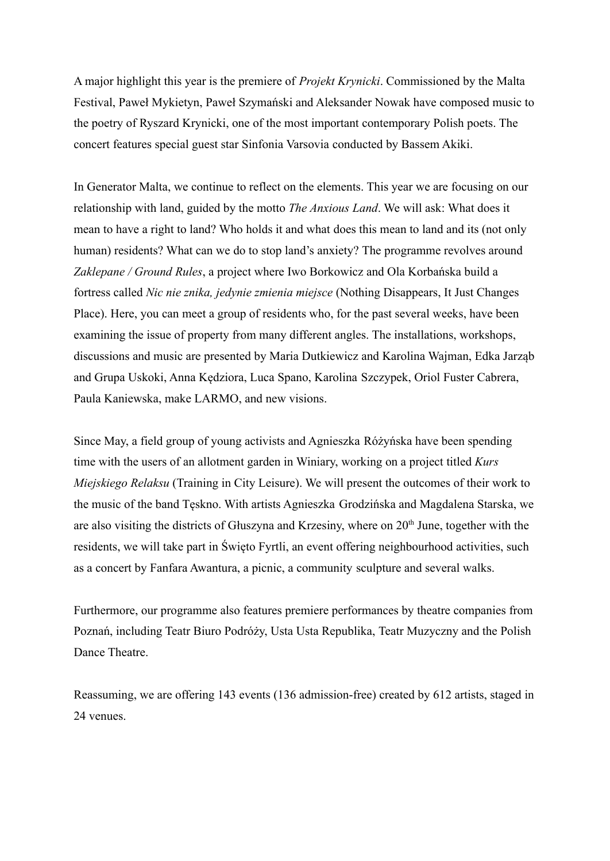A major highlight this year is the premiere of *Projekt Krynicki*. Commissioned by the Malta Festival, Paweł Mykietyn, Paweł Szymański and Aleksander Nowak have composed music to the poetry of Ryszard Krynicki, one of the most important contemporary Polish poets. The concert features special guest star Sinfonia Varsovia conducted by Bassem Akiki.

In Generator Malta, we continue to reflect on the elements. This year we are focusing on our relationship with land, guided by the motto *The Anxious Land*. We will ask: What does it mean to have a right to land? Who holds it and what does this mean to land and its (not only human) residents? What can we do to stop land's anxiety? The programme revolves around *Zaklepane / Ground Rules*, a project where Iwo Borkowicz and Ola Korbańska build a fortress called *Nic nie znika, jedynie zmienia miejsce* (Nothing Disappears, It Just Changes Place). Here, you can meet a group of residents who, for the past several weeks, have been examining the issue of property from many different angles. The installations, workshops, discussions and music are presented by Maria Dutkiewicz and Karolina Wajman, Edka Jarząb and Grupa Uskoki, Anna Kędziora, Luca Spano, Karolina Szczypek, Oriol Fuster Cabrera, Paula Kaniewska, make LARMO, and new visions.

Since May, a field group of young activists and Agnieszka Różyńska have been spending time with the users of an allotment garden in Winiary, working on a project titled *Kurs Miejskiego Relaksu* (Training in City Leisure). We will present the outcomes of their work to the music of the band Tęskno. With artists Agnieszka Grodzińska and Magdalena Starska, we are also visiting the districts of Głuszyna and Krzesiny, where on 20<sup>th</sup> June, together with the residents, we will take part in Święto Fyrtli, an event offering neighbourhood activities, such as a concert by Fanfara Awantura, a picnic, a community sculpture and several walks.

Furthermore, our programme also features premiere performances by theatre companies from Poznań, including Teatr Biuro Podróży, Usta Usta Republika, Teatr Muzyczny and the Polish Dance Theatre.

Reassuming, we are offering 143 events (136 admission-free) created by 612 artists, staged in 24 venues.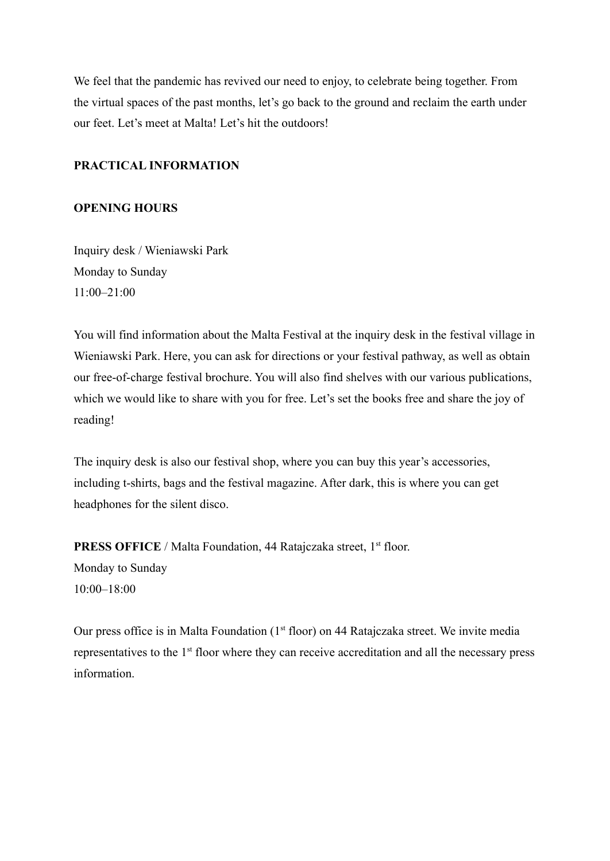We feel that the pandemic has revived our need to enjoy, to celebrate being together. From the virtual spaces of the past months, let's go back to the ground and reclaim the earth under our feet. Let's meet at Malta! Let's hit the outdoors!

### **PRACTICAL INFORMATION**

### **OPENING HOURS**

Inquiry desk / Wieniawski Park Monday to Sunday 11:00–21:00

You will find information about the Malta Festival at the inquiry desk in the festival village in Wieniawski Park. Here, you can ask for directions or your festival pathway, as well as obtain our free-of-charge festival brochure. You will also find shelves with our various publications, which we would like to share with you for free. Let's set the books free and share the joy of reading!

The inquiry desk is also our festival shop, where you can buy this year's accessories, including t-shirts, bags and the festival magazine. After dark, this is where you can get headphones for the silent disco.

PRESS OFFICE / Malta Foundation, 44 Ratajczaka street, 1<sup>st</sup> floor. Monday to Sunday  $10.00 - 18.00$ 

Our press office is in Malta Foundation (1<sup>st</sup> floor) on 44 Ratajczaka street. We invite media representatives to the 1<sup>st</sup> floor where they can receive accreditation and all the necessary press information.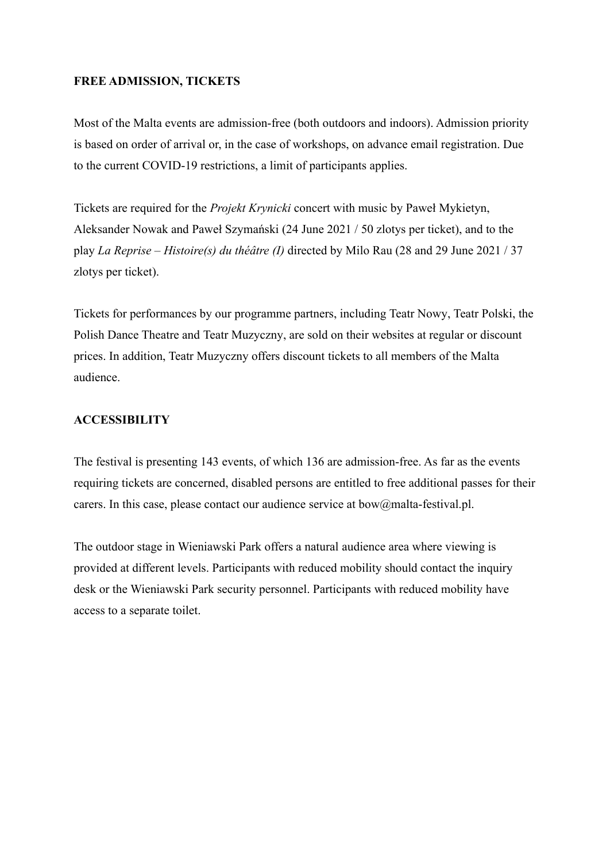### **FREE ADMISSION, TICKETS**

Most of the Malta events are admission-free (both outdoors and indoors). Admission priority is based on order of arrival or, in the case of workshops, on advance email registration. Due to the current COVID-19 restrictions, a limit of participants applies.

Tickets are required for the *[Projekt Krynicki](https://goingapp.pl/wydarzenie/projekt-krynicki/czerwiec-2021)* concert with music by Paweł Mykietyn, Aleksander Nowak and Paweł Szymański (24 June 2021 / 50 zlotys per ticket), and to the play *La Reprise – Histoire(s) du théâtre (I)* directed by Milo Rau (28 and 29 June 2021 / 37 zlotys per ticket).

Tickets for performances by our programme partners, including [Teatr Nowy](https://malta-festival.pl/pl/program/czerwone-nosy-teatr-nowy), [Teatr Polski,](https://malta-festival.pl/pl/program/morderstwo-w-utopii-grzegorz-laszuk--teatr-polski-w-poznaniu) the Polish Dance Theatre and [Teatr Muzyczny,](https://malta-festival.pl/pl/program/kombinat-teatr-muzyczny) are sold on their websites at regular or discount prices. In addition, Teatr Muzyczny offers discount tickets to all members of the Malta audience.

### **ACCESSIBILITY**

The festival is presenting 143 events, of which 136 are admission-free. As far as the events requiring tickets are concerned, disabled persons are entitled to free additional passes for their carers. In this case, please contact our audience service at bow@malta-festival.pl.

The outdoor stage in Wieniawski Park offers a natural audience area where viewing is provided at different levels. Participants with reduced mobility should contact the inquiry desk or the Wieniawski Park security personnel. Participants with reduced mobility have access to a separate toilet.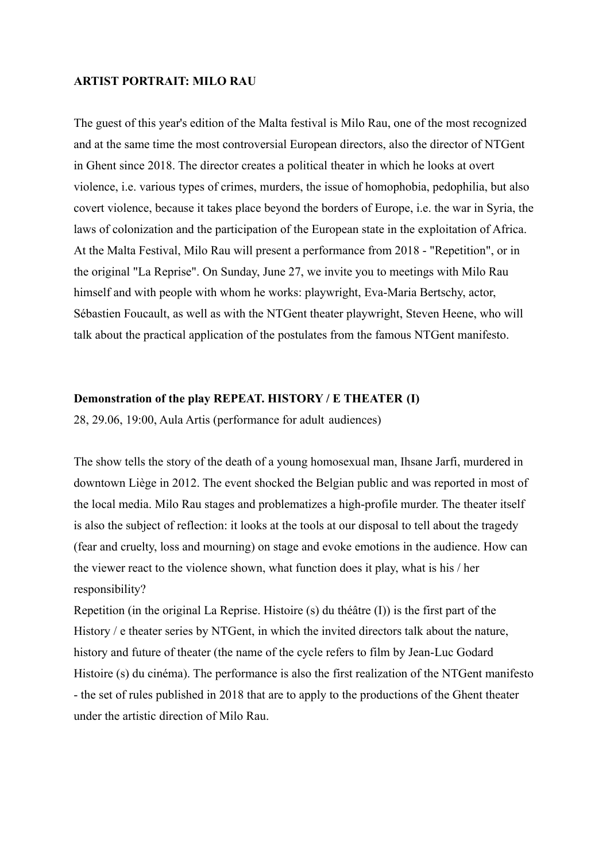### **ARTIST PORTRAIT: MILO RAU**

The guest of this year's edition of the Malta festival is Milo Rau, one of the most recognized and at the same time the most controversial European directors, also the director of NTGent in Ghent since 2018. The director creates a political theater in which he looks at overt violence, i.e. various types of crimes, murders, the issue of homophobia, pedophilia, but also covert violence, because it takes place beyond the borders of Europe, i.e. the war in Syria, the laws of colonization and the participation of the European state in the exploitation of Africa. At the Malta Festival, Milo Rau will present a performance from 2018 - "Repetition", or in the original "La Reprise". On Sunday, June 27, we invite you to meetings with Milo Rau himself and with people with whom he works: playwright, Eva-Maria Bertschy, actor, Sébastien Foucault, as well as with the NTGent theater playwright, Steven Heene, who will talk about the practical application of the postulates from the famous NTGent manifesto.

### **Demonstration of the play REPEAT. HISTORY / E THEATER (I)**

28, 29.06, 19:00, Aula Artis (performance for adult audiences)

The show tells the story of the death of a young homosexual man, Ihsane Jarfi, murdered in downtown Liège in 2012. The event shocked the Belgian public and was reported in most of the local media. Milo Rau stages and problematizes a high-profile murder. The theater itself is also the subject of reflection: it looks at the tools at our disposal to tell about the tragedy (fear and cruelty, loss and mourning) on stage and evoke emotions in the audience. How can the viewer react to the violence shown, what function does it play, what is his / her responsibility?

Repetition (in the original La Reprise. Histoire (s) du théâtre (I)) is the first part of the History / e theater series by NTGent, in which the invited directors talk about the nature, history and future of theater (the name of the cycle refers to film by Jean-Luc Godard Histoire (s) du cinéma). The performance is also the first realization of the NTGent manifesto - the set of rules published in 2018 that are to apply to the productions of the Ghent theater under the artistic direction of Milo Rau.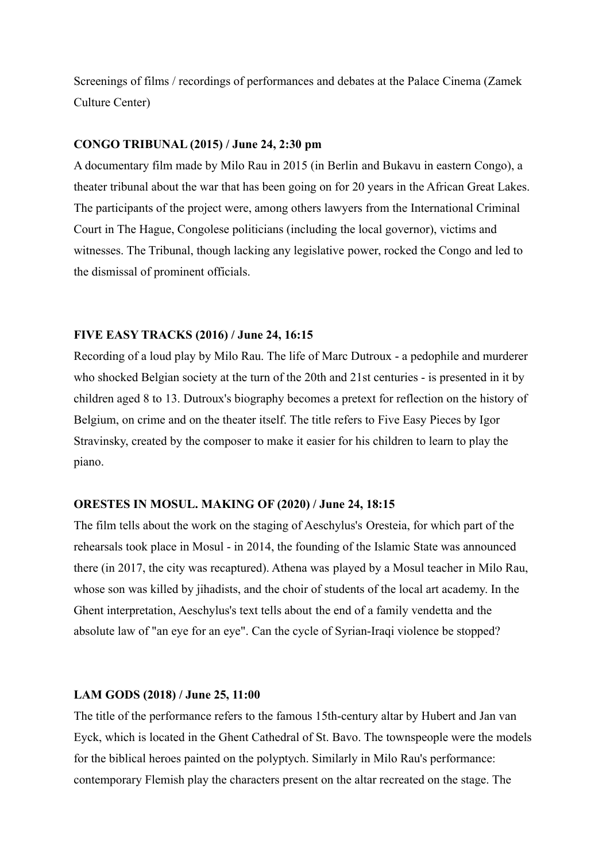Screenings of films / recordings of performances and debates at the Palace Cinema (Zamek Culture Center)

### **CONGO TRIBUNAL (2015) / June 24, 2:30 pm**

A documentary film made by Milo Rau in 2015 (in Berlin and Bukavu in eastern Congo), a theater tribunal about the war that has been going on for 20 years in the African Great Lakes. The participants of the project were, among others lawyers from the International Criminal Court in The Hague, Congolese politicians (including the local governor), victims and witnesses. The Tribunal, though lacking any legislative power, rocked the Congo and led to the dismissal of prominent officials.

### **FIVE EASY TRACKS (2016) / June 24, 16:15**

Recording of a loud play by Milo Rau. The life of Marc Dutroux - a pedophile and murderer who shocked Belgian society at the turn of the 20th and 21st centuries - is presented in it by children aged 8 to 13. Dutroux's biography becomes a pretext for reflection on the history of Belgium, on crime and on the theater itself. The title refers to Five Easy Pieces by Igor Stravinsky, created by the composer to make it easier for his children to learn to play the piano.

### **ORESTES IN MOSUL. MAKING OF (2020) / June 24, 18:15**

The film tells about the work on the staging of Aeschylus's Oresteia, for which part of the rehearsals took place in Mosul - in 2014, the founding of the Islamic State was announced there (in 2017, the city was recaptured). Athena was played by a Mosul teacher in Milo Rau, whose son was killed by jihadists, and the choir of students of the local art academy. In the Ghent interpretation, Aeschylus's text tells about the end of a family vendetta and the absolute law of "an eye for an eye". Can the cycle of Syrian-Iraqi violence be stopped?

### **LAM GODS (2018) / June 25, 11:00**

The title of the performance refers to the famous 15th-century altar by Hubert and Jan van Eyck, which is located in the Ghent Cathedral of St. Bavo. The townspeople were the models for the biblical heroes painted on the polyptych. Similarly in Milo Rau's performance: contemporary Flemish play the characters present on the altar recreated on the stage. The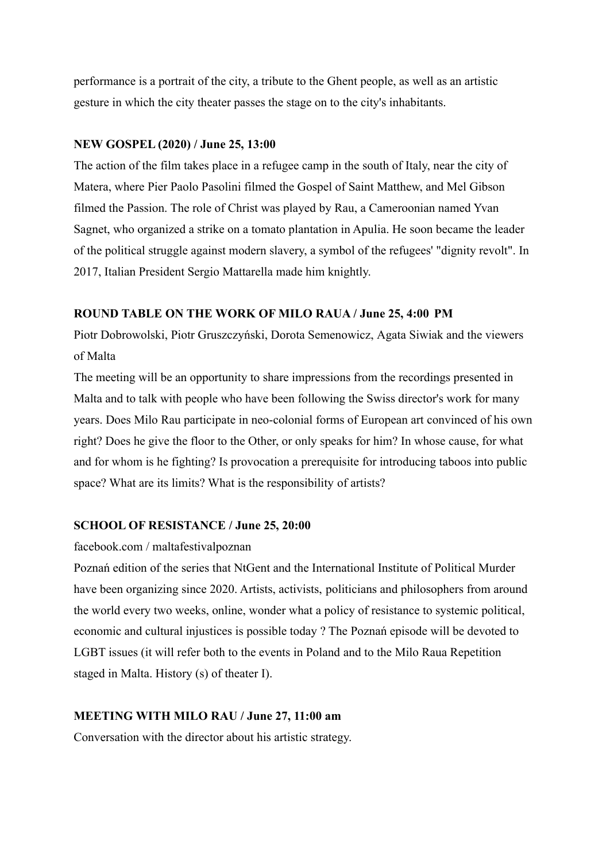performance is a portrait of the city, a tribute to the Ghent people, as well as an artistic gesture in which the city theater passes the stage on to the city's inhabitants.

### **NEW GOSPEL (2020) / June 25, 13:00**

The action of the film takes place in a refugee camp in the south of Italy, near the city of Matera, where Pier Paolo Pasolini filmed the Gospel of Saint Matthew, and Mel Gibson filmed the Passion. The role of Christ was played by Rau, a Cameroonian named Yvan Sagnet, who organized a strike on a tomato plantation in Apulia. He soon became the leader of the political struggle against modern slavery, a symbol of the refugees' "dignity revolt". In 2017, Italian President Sergio Mattarella made him knightly.

### **ROUND TABLE ON THE WORK OF MILO RAUA / June 25, 4:00 PM**

Piotr Dobrowolski, Piotr Gruszczyński, Dorota Semenowicz, Agata Siwiak and the viewers of Malta

The meeting will be an opportunity to share impressions from the recordings presented in Malta and to talk with people who have been following the Swiss director's work for many years. Does Milo Rau participate in neo-colonial forms of European art convinced of his own right? Does he give the floor to the Other, or only speaks for him? In whose cause, for what and for whom is he fighting? Is provocation a prerequisite for introducing taboos into public space? What are its limits? What is the responsibility of artists?

### **SCHOOL OF RESISTANCE / June 25, 20:00**

### facebook.com / maltafestivalpoznan

Poznań edition of the series that NtGent and the International Institute of Political Murder have been organizing since 2020. Artists, activists, politicians and philosophers from around the world every two weeks, online, wonder what a policy of resistance to systemic political, economic and cultural injustices is possible today ? The Poznań episode will be devoted to LGBT issues (it will refer both to the events in Poland and to the Milo Raua Repetition staged in Malta. History (s) of theater I).

### **MEETING WITH MILO RAU / June 27, 11:00 am**

Conversation with the director about his artistic strategy.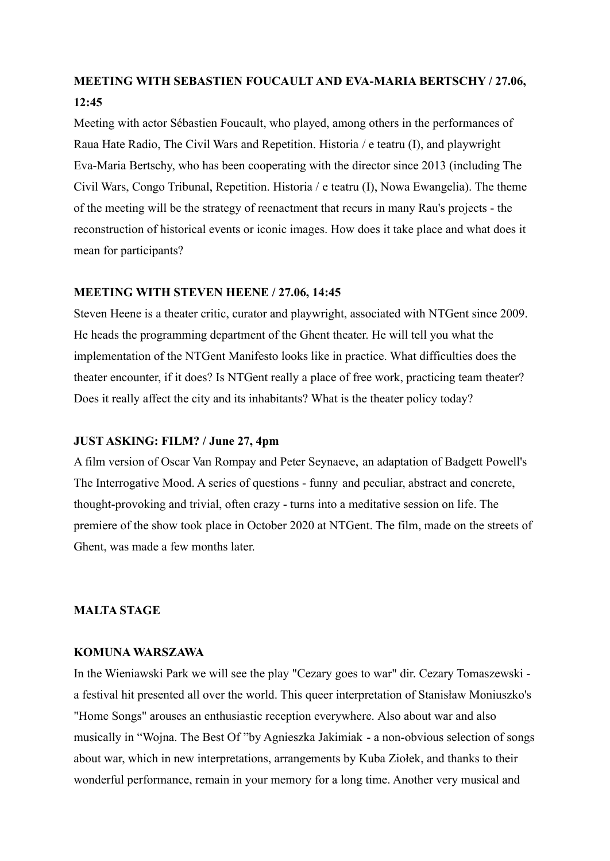## **MEETING WITH SEBASTIEN FOUCAULT AND EVA-MARIA BERTSCHY / 27.06, 12:45**

Meeting with actor Sébastien Foucault, who played, among others in the performances of Raua Hate Radio, The Civil Wars and Repetition. Historia / e teatru (I), and playwright Eva-Maria Bertschy, who has been cooperating with the director since 2013 (including The Civil Wars, Congo Tribunal, Repetition. Historia / e teatru (I), Nowa Ewangelia). The theme of the meeting will be the strategy of reenactment that recurs in many Rau's projects - the reconstruction of historical events or iconic images. How does it take place and what does it mean for participants?

### **MEETING WITH STEVEN HEENE / 27.06, 14:45**

Steven Heene is a theater critic, curator and playwright, associated with NTGent since 2009. He heads the programming department of the Ghent theater. He will tell you what the implementation of the NTGent Manifesto looks like in practice. What difficulties does the theater encounter, if it does? Is NTGent really a place of free work, practicing team theater? Does it really affect the city and its inhabitants? What is the theater policy today?

### **JUST ASKING: FILM? / June 27, 4pm**

A film version of Oscar Van Rompay and Peter Seynaeve, an adaptation of Badgett Powell's The Interrogative Mood. A series of questions - funny and peculiar, abstract and concrete, thought-provoking and trivial, often crazy - turns into a meditative session on life. The premiere of the show took place in October 2020 at NTGent. The film, made on the streets of Ghent, was made a few months later.

### **MALTA STAGE**

### **KOMUNA WARSZAWA**

In the Wieniawski Park we will see the play "Cezary goes to war" dir. Cezary Tomaszewski a festival hit presented all over the world. This queer interpretation of Stanisław Moniuszko's "Home Songs" arouses an enthusiastic reception everywhere. Also about war and also musically in "Wojna. The Best Of "by Agnieszka Jakimiak - a non-obvious selection of songs about war, which in new interpretations, arrangements by Kuba Ziołek, and thanks to their wonderful performance, remain in your memory for a long time. Another very musical and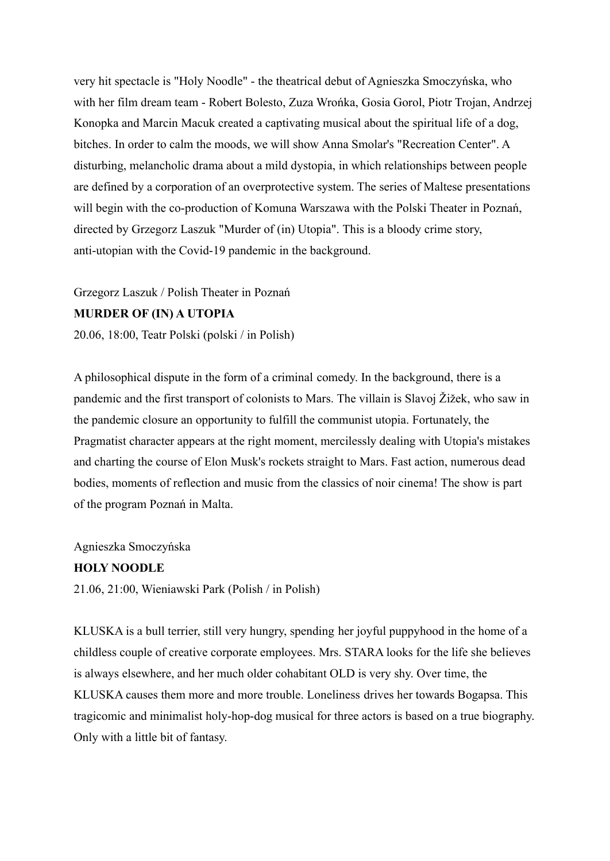very hit spectacle is "Holy Noodle" - the theatrical debut of Agnieszka Smoczyńska, who with her film dream team - Robert Bolesto, Zuza Wrońka, Gosia Gorol, Piotr Trojan, Andrzej Konopka and Marcin Macuk created a captivating musical about the spiritual life of a dog, bitches. In order to calm the moods, we will show Anna Smolar's "Recreation Center". A disturbing, melancholic drama about a mild dystopia, in which relationships between people are defined by a corporation of an overprotective system. The series of Maltese presentations will begin with the co-production of Komuna Warszawa with the Polski Theater in Poznań, directed by Grzegorz Laszuk "Murder of (in) Utopia". This is a bloody crime story, anti-utopian with the Covid-19 pandemic in the background.

Grzegorz Laszuk / Polish Theater in Poznań **MURDER OF (IN) A UTOPIA**

20.06, 18:00, Teatr Polski (polski / in Polish)

A philosophical dispute in the form of a criminal comedy. In the background, there is a pandemic and the first transport of colonists to Mars. The villain is Slavoj Žižek, who saw in the pandemic closure an opportunity to fulfill the communist utopia. Fortunately, the Pragmatist character appears at the right moment, mercilessly dealing with Utopia's mistakes and charting the course of Elon Musk's rockets straight to Mars. Fast action, numerous dead bodies, moments of reflection and music from the classics of noir cinema! The show is part of the program Poznań in Malta.

Agnieszka Smoczyńska

### **HOLY NOODLE**

21.06, 21:00, Wieniawski Park (Polish / in Polish)

KLUSKA is a bull terrier, still very hungry, spending her joyful puppyhood in the home of a childless couple of creative corporate employees. Mrs. STARA looks for the life she believes is always elsewhere, and her much older cohabitant OLD is very shy. Over time, the KLUSKA causes them more and more trouble. Loneliness drives her towards Bogapsa. This tragicomic and minimalist holy-hop-dog musical for three actors is based on a true biography. Only with a little bit of fantasy.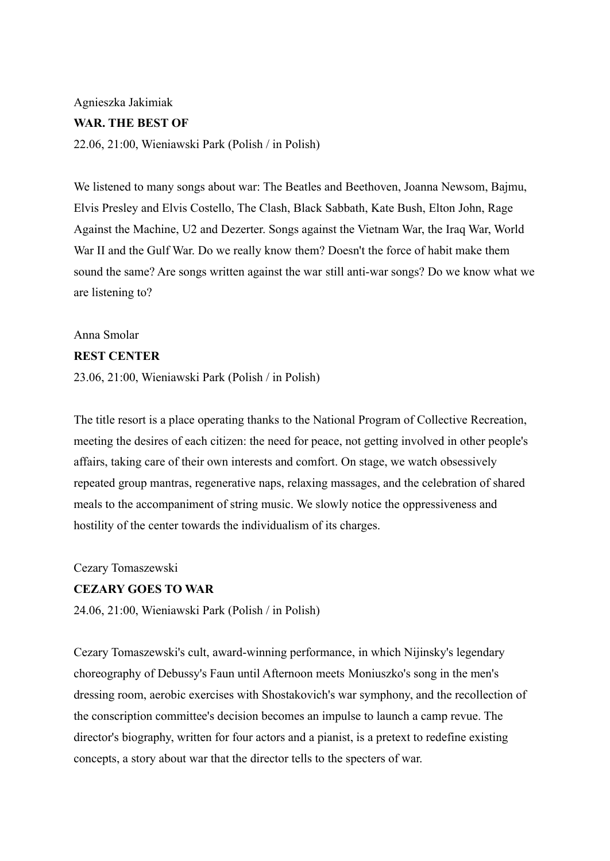## Agnieszka Jakimiak **WAR. THE BEST OF**

22.06, 21:00, Wieniawski Park (Polish / in Polish)

We listened to many songs about war: The Beatles and Beethoven, Joanna Newsom, Bajmu, Elvis Presley and Elvis Costello, The Clash, Black Sabbath, Kate Bush, Elton John, Rage Against the Machine, U2 and Dezerter. Songs against the Vietnam War, the Iraq War, World War II and the Gulf War. Do we really know them? Doesn't the force of habit make them sound the same? Are songs written against the war still anti-war songs? Do we know what we are listening to?

### Anna Smolar

### **REST CENTER**

23.06, 21:00, Wieniawski Park (Polish / in Polish)

The title resort is a place operating thanks to the National Program of Collective Recreation, meeting the desires of each citizen: the need for peace, not getting involved in other people's affairs, taking care of their own interests and comfort. On stage, we watch obsessively repeated group mantras, regenerative naps, relaxing massages, and the celebration of shared meals to the accompaniment of string music. We slowly notice the oppressiveness and hostility of the center towards the individualism of its charges.

Cezary Tomaszewski

### **CEZARY GOES TO WAR**

24.06, 21:00, Wieniawski Park (Polish / in Polish)

Cezary Tomaszewski's cult, award-winning performance, in which Nijinsky's legendary choreography of Debussy's Faun until Afternoon meets Moniuszko's song in the men's dressing room, aerobic exercises with Shostakovich's war symphony, and the recollection of the conscription committee's decision becomes an impulse to launch a camp revue. The director's biography, written for four actors and a pianist, is a pretext to redefine existing concepts, a story about war that the director tells to the specters of war.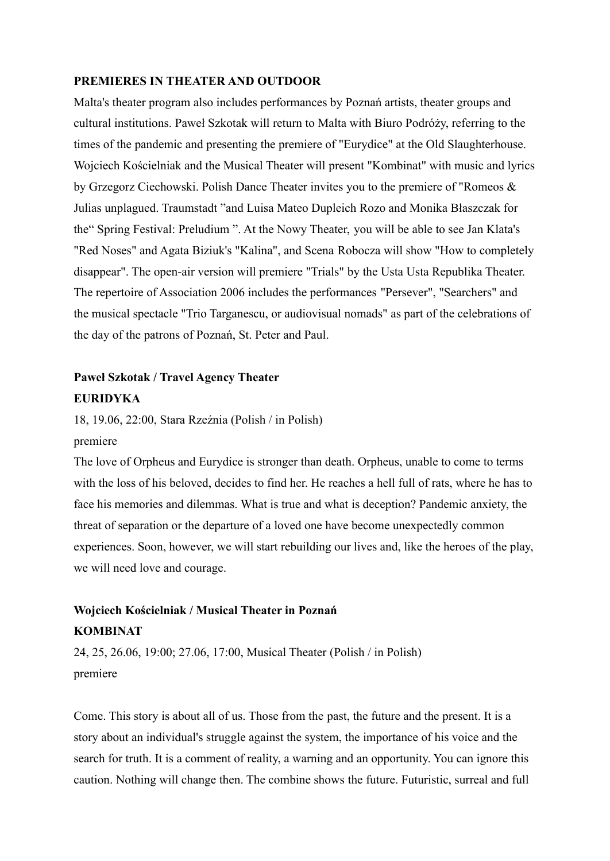### **PREMIERES IN THEATER AND OUTDOOR**

Malta's theater program also includes performances by Poznań artists, theater groups and cultural institutions. Paweł Szkotak will return to Malta with Biuro Podróży, referring to the times of the pandemic and presenting the premiere of "Eurydice" at the Old Slaughterhouse. Wojciech Kościelniak and the Musical Theater will present "Kombinat" with music and lyrics by Grzegorz Ciechowski. Polish Dance Theater invites you to the premiere of "Romeos & Julias unplagued. Traumstadt "and Luisa Mateo Dupleich Rozo and Monika Błaszczak for the" Spring Festival: Preludium ". At the Nowy Theater, you will be able to see Jan Klata's "Red Noses" and Agata Biziuk's "Kalina", and Scena Robocza will show "How to completely disappear". The open-air version will premiere "Trials" by the Usta Usta Republika Theater. The repertoire of Association 2006 includes the performances "Persever", "Searchers" and the musical spectacle "Trio Targanescu, or audiovisual nomads" as part of the celebrations of the day of the patrons of Poznań, St. Peter and Paul.

## **Paweł Szkotak / Travel Agency Theater EURIDYKA**

18, 19.06, 22:00, Stara Rzeźnia (Polish / in Polish)

### premiere

The love of Orpheus and Eurydice is stronger than death. Orpheus, unable to come to terms with the loss of his beloved, decides to find her. He reaches a hell full of rats, where he has to face his memories and dilemmas. What is true and what is deception? Pandemic anxiety, the threat of separation or the departure of a loved one have become unexpectedly common experiences. Soon, however, we will start rebuilding our lives and, like the heroes of the play, we will need love and courage.

## **Wojciech Kościelniak / Musical Theater in Poznań KOMBINAT**

24, 25, 26.06, 19:00; 27.06, 17:00, Musical Theater (Polish / in Polish) premiere

Come. This story is about all of us. Those from the past, the future and the present. It is a story about an individual's struggle against the system, the importance of his voice and the search for truth. It is a comment of reality, a warning and an opportunity. You can ignore this caution. Nothing will change then. The combine shows the future. Futuristic, surreal and full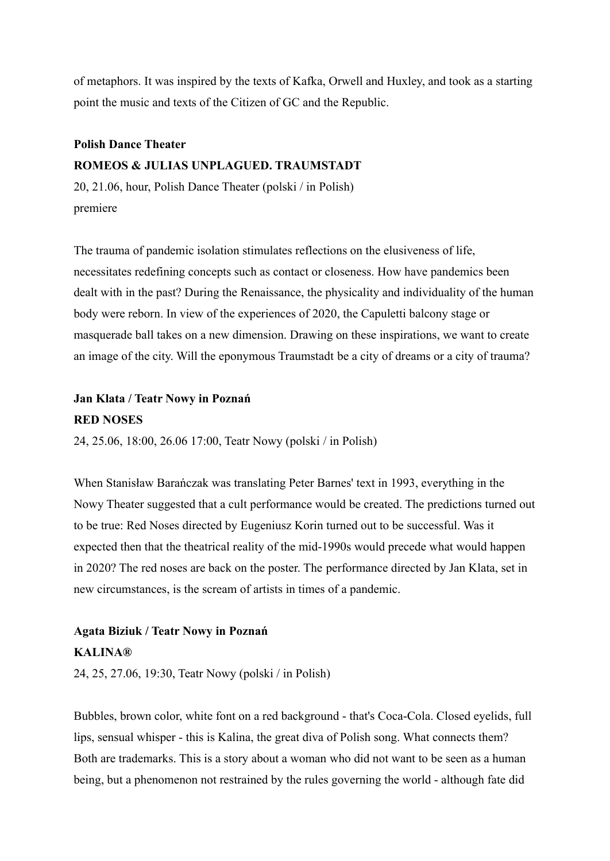of metaphors. It was inspired by the texts of Kafka, Orwell and Huxley, and took as a starting point the music and texts of the Citizen of GC and the Republic.

### **Polish Dance Theater ROMEOS & JULIAS UNPLAGUED. TRAUMSTADT**

20, 21.06, hour, Polish Dance Theater (polski / in Polish) premiere

The trauma of pandemic isolation stimulates reflections on the elusiveness of life, necessitates redefining concepts such as contact or closeness. How have pandemics been dealt with in the past? During the Renaissance, the physicality and individuality of the human body were reborn. In view of the experiences of 2020, the Capuletti balcony stage or masquerade ball takes on a new dimension. Drawing on these inspirations, we want to create an image of the city. Will the eponymous Traumstadt be a city of dreams or a city of trauma?

# **Jan Klata / Teatr Nowy in Poznań**

### **RED NOSES**

24, 25.06, 18:00, 26.06 17:00, Teatr Nowy (polski / in Polish)

When Stanisław Barańczak was translating Peter Barnes' text in 1993, everything in the Nowy Theater suggested that a cult performance would be created. The predictions turned out to be true: Red Noses directed by Eugeniusz Korin turned out to be successful. Was it expected then that the theatrical reality of the mid-1990s would precede what would happen in 2020? The red noses are back on the poster. The performance directed by Jan Klata, set in new circumstances, is the scream of artists in times of a pandemic.

## **Agata Biziuk / Teatr Nowy in Poznań KALINA®**

24, 25, 27.06, 19:30, Teatr Nowy (polski / in Polish)

Bubbles, brown color, white font on a red background - that's Coca-Cola. Closed eyelids, full lips, sensual whisper - this is Kalina, the great diva of Polish song. What connects them? Both are trademarks. This is a story about a woman who did not want to be seen as a human being, but a phenomenon not restrained by the rules governing the world - although fate did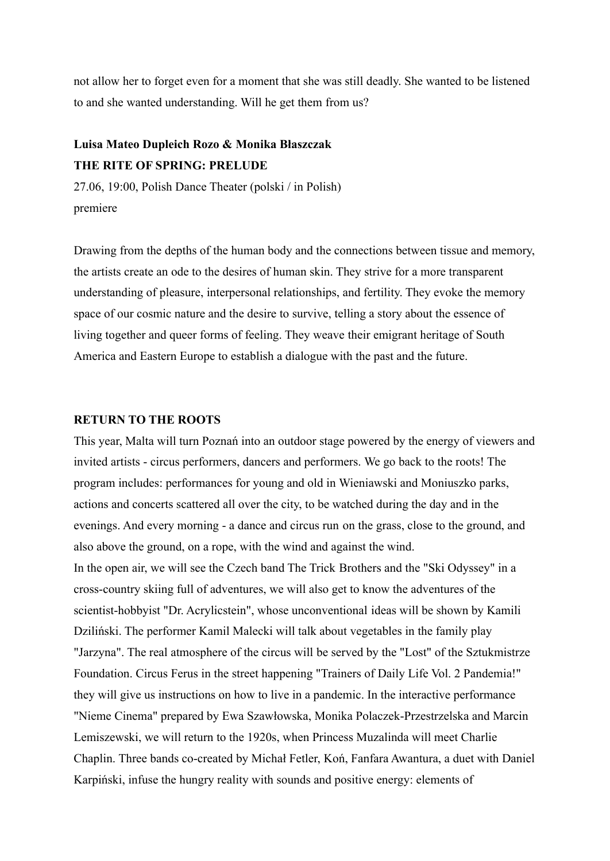not allow her to forget even for a moment that she was still deadly. She wanted to be listened to and she wanted understanding. Will he get them from us?

## **Luisa Mateo Dupleich Rozo & Monika Błaszczak THE RITE OF SPRING: PRELUDE**

27.06, 19:00, Polish Dance Theater (polski / in Polish) premiere

Drawing from the depths of the human body and the connections between tissue and memory, the artists create an ode to the desires of human skin. They strive for a more transparent understanding of pleasure, interpersonal relationships, and fertility. They evoke the memory space of our cosmic nature and the desire to survive, telling a story about the essence of living together and queer forms of feeling. They weave their emigrant heritage of South America and Eastern Europe to establish a dialogue with the past and the future.

### **RETURN TO THE ROOTS**

This year, Malta will turn Poznań into an outdoor stage powered by the energy of viewers and invited artists - circus performers, dancers and performers. We go back to the roots! The program includes: performances for young and old in Wieniawski and Moniuszko parks, actions and concerts scattered all over the city, to be watched during the day and in the evenings. And every morning - a dance and circus run on the grass, close to the ground, and also above the ground, on a rope, with the wind and against the wind. In the open air, we will see the Czech band The Trick Brothers and the "Ski Odyssey" in a cross-country skiing full of adventures, we will also get to know the adventures of the scientist-hobbyist "Dr. Acrylicstein", whose unconventional ideas will be shown by Kamili Dziliński. The performer Kamil Malecki will talk about vegetables in the family play "Jarzyna". The real atmosphere of the circus will be served by the "Lost" of the Sztukmistrze Foundation. Circus Ferus in the street happening "Trainers of Daily Life Vol. 2 Pandemia!" they will give us instructions on how to live in a pandemic. In the interactive performance "Nieme Cinema" prepared by Ewa Szawłowska, Monika Polaczek-Przestrzelska and Marcin Lemiszewski, we will return to the 1920s, when Princess Muzalinda will meet Charlie Chaplin. Three bands co-created by Michał Fetler, Koń, Fanfara Awantura, a duet with Daniel Karpiński, infuse the hungry reality with sounds and positive energy: elements of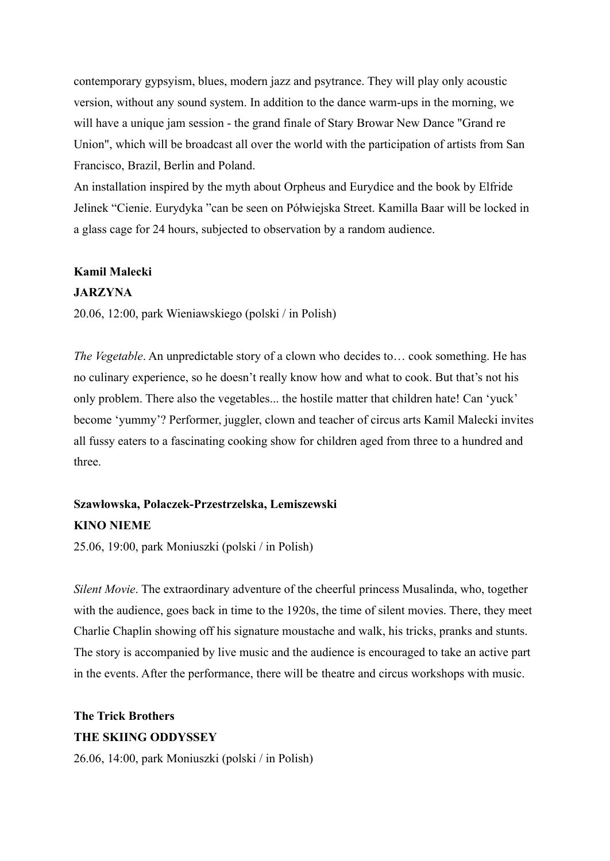contemporary gypsyism, blues, modern jazz and psytrance. They will play only acoustic version, without any sound system. In addition to the dance warm-ups in the morning, we will have a unique jam session - the grand finale of Stary Browar New Dance "Grand re Union", which will be broadcast all over the world with the participation of artists from San Francisco, Brazil, Berlin and Poland.

An installation inspired by the myth about Orpheus and Eurydice and the book by Elfride Jelinek "Cienie. Eurydyka "can be seen on Półwiejska Street. Kamilla Baar will be locked in a glass cage for 24 hours, subjected to observation by a random audience.

### **Kamil Malecki**

### **JARZYNA**

20.06, 12:00, park Wieniawskiego (polski / in Polish)

*The Vegetable*. An unpredictable story of a clown who decides to… cook something. He has no culinary experience, so he doesn't really know how and what to cook. But that's not his only problem. There also the vegetables... the hostile matter that children hate! Can 'yuck' become 'yummy'? Performer, juggler, clown and teacher of circus arts Kamil Malecki invites all fussy eaters to a fascinating cooking show for children aged from three to a hundred and three.

## **Szawłowska, Polaczek-Przestrzelska, Lemiszewski KINO NIEME**

25.06, 19:00, park Moniuszki (polski / in Polish)

*Silent Movie*. The extraordinary adventure of the cheerful princess Musalinda, who, together with the audience, goes back in time to the 1920s, the time of silent movies. There, they meet Charlie Chaplin showing off his signature moustache and walk, his tricks, pranks and stunts. The story is accompanied by live music and the audience is encouraged to take an active part in the events. After the performance, there will be theatre and circus workshops with music.

### **The Trick Brothers THE SKIING ODDYSSEY**

26.06, 14:00, park Moniuszki (polski / in Polish)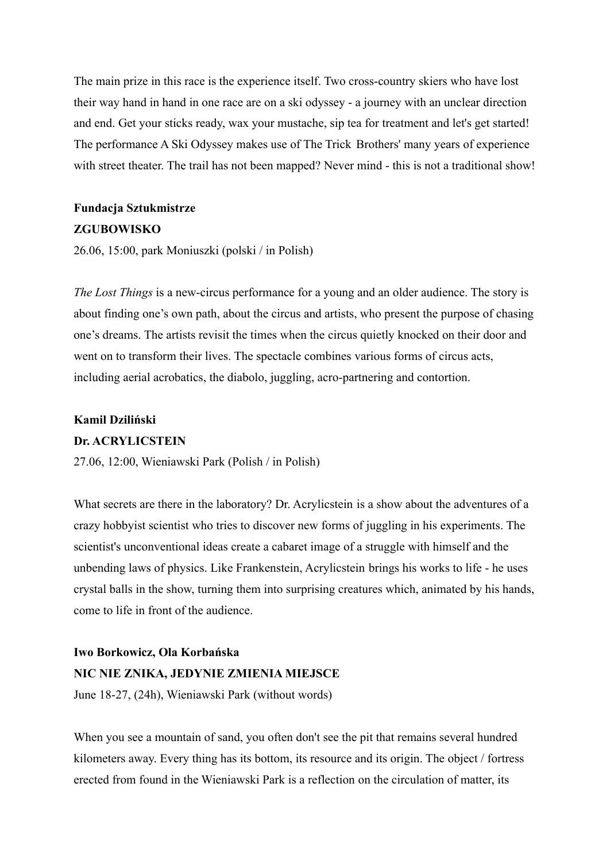The main prize in this race is the experience itself. Two cross-country skiers who have lost their way hand in hand in one race are on a ski odyssey - a journey with an unclear direction and end. Get your sticks ready, wax your mustache, sip tea for treatment and let's get started! The performance A Ski Odyssey makes use of The Trick Brothers' many years of experience with street theater. The trail has not been mapped? Never mind - this is not a traditional show!

### **Fundacja Sztukmistrze ZGUBOWISKO**

26.06, 15:00, park Moniuszki (polski / in Polish)

*The Lost Things* is a new-circus performance for a young and an older audience. The story is about finding one's own path, about the circus and artists, who present the purpose of chasing one's dreams. The artists revisit the times when the circus quietly knocked on their door and went on to transform their lives. The spectacle combines various forms of circus acts, including aerial acrobatics, the diabolo, juggling, acro-partnering and contortion.

### **Kamil Dziliński Dr. ACRYLICSTEIN**

27.06, 12:00, Wieniawski Park (Polish / in Polish)

What secrets are there in the laboratory? Dr. Acrylicstein is a show about the adventures of a crazy hobbyist scientist who tries to discover new forms of juggling in his experiments. The scientist's unconventional ideas create a cabaret image of a struggle with himself and the unbending laws of physics. Like Frankenstein, Acrylicstein brings his works to life - he uses crystal balls in the show, turning them into surprising creatures which, animated by his hands, come to life in front of the audience.

### **Iwo Borkowicz, Ola Korbańska**

### **NIC NIE ZNIKA, JEDYNIE ZMIENIA MIEJSCE**

June 18-27, (24h), Wieniawski Park (without words)

When you see a mountain of sand, you often don't see the pit that remains several hundred kilometers away. Every thing has its bottom, its resource and its origin. The object / fortress erected from found in the Wieniawski Park is a reflection on the circulation of matter, its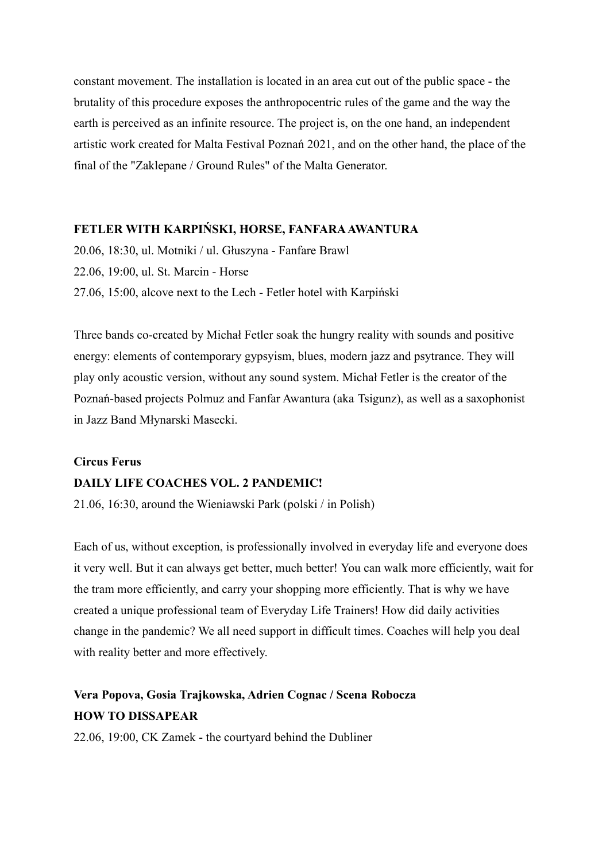constant movement. The installation is located in an area cut out of the public space - the brutality of this procedure exposes the anthropocentric rules of the game and the way the earth is perceived as an infinite resource. The project is, on the one hand, an independent artistic work created for Malta Festival Poznań 2021, and on the other hand, the place of the final of the "Zaklepane / Ground Rules" of the Malta Generator.

### **FETLER WITH KARPIŃSKI, HORSE, FANFARAAWANTURA**

20.06, 18:30, ul. Motniki / ul. Głuszyna - Fanfare Brawl 22.06, 19:00, ul. St. Marcin - Horse 27.06, 15:00, alcove next to the Lech - Fetler hotel with Karpiński

Three bands co-created by Michał Fetler soak the hungry reality with sounds and positive energy: elements of contemporary gypsyism, blues, modern jazz and psytrance. They will play only acoustic version, without any sound system. Michał Fetler is the creator of the Poznań-based projects Polmuz and Fanfar Awantura (aka Tsigunz), as well as a saxophonist in Jazz Band Młynarski Masecki.

## **Circus Ferus DAILY LIFE COACHES VOL. 2 PANDEMIC!**

21.06, 16:30, around the Wieniawski Park (polski / in Polish)

Each of us, without exception, is professionally involved in everyday life and everyone does it very well. But it can always get better, much better! You can walk more efficiently, wait for the tram more efficiently, and carry your shopping more efficiently. That is why we have created a unique professional team of Everyday Life Trainers! How did daily activities change in the pandemic? We all need support in difficult times. Coaches will help you deal with reality better and more effectively.

## **Vera Popova, Gosia Trajkowska, Adrien Cognac / Scena Robocza HOW TO DISSAPEAR**

22.06, 19:00, CK Zamek - the courtyard behind the Dubliner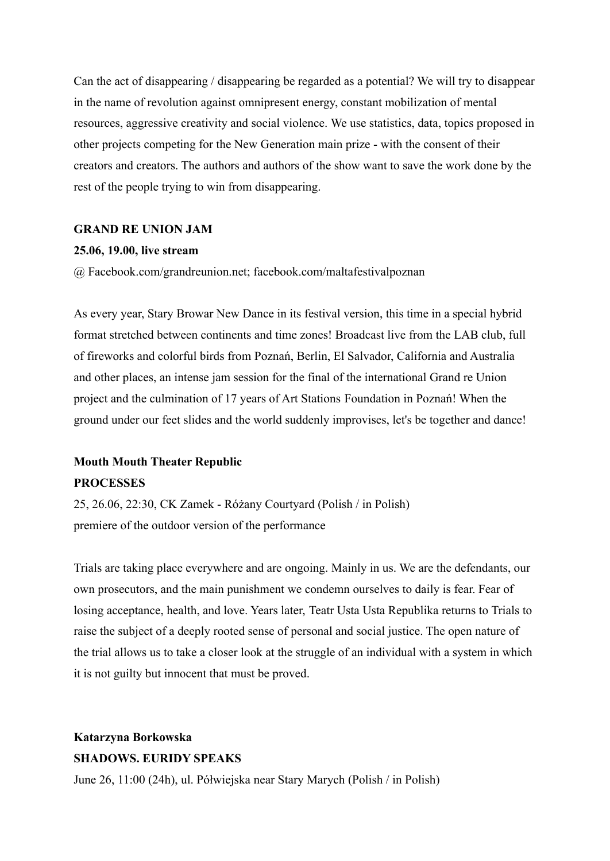Can the act of disappearing / disappearing be regarded as a potential? We will try to disappear in the name of revolution against omnipresent energy, constant mobilization of mental resources, aggressive creativity and social violence. We use statistics, data, topics proposed in other projects competing for the New Generation main prize - with the consent of their creators and creators. The authors and authors of the show want to save the work done by the rest of the people trying to win from disappearing.

### **GRAND RE UNION JAM**

### **25.06, 19.00, live stream**

@ Facebook.com/grandreunion.net; facebook.com/maltafestivalpoznan

As every year, Stary Browar New Dance in its festival version, this time in a special hybrid format stretched between continents and time zones! Broadcast live from the LAB club, full of fireworks and colorful birds from Poznań, Berlin, El Salvador, California and Australia and other places, an intense jam session for the final of the international Grand re Union project and the culmination of 17 years of Art Stations Foundation in Poznań! When the ground under our feet slides and the world suddenly improvises, let's be together and dance!

## **Mouth Mouth Theater Republic PROCESSES**

25, 26.06, 22:30, CK Zamek - Różany Courtyard (Polish / in Polish) premiere of the outdoor version of the performance

Trials are taking place everywhere and are ongoing. Mainly in us. We are the defendants, our own prosecutors, and the main punishment we condemn ourselves to daily is fear. Fear of losing acceptance, health, and love. Years later, Teatr Usta Usta Republika returns to Trials to raise the subject of a deeply rooted sense of personal and social justice. The open nature of the trial allows us to take a closer look at the struggle of an individual with a system in which it is not guilty but innocent that must be proved.

## **Katarzyna Borkowska SHADOWS. EURIDY SPEAKS**

June 26, 11:00 (24h), ul. Półwiejska near Stary Marych (Polish / in Polish)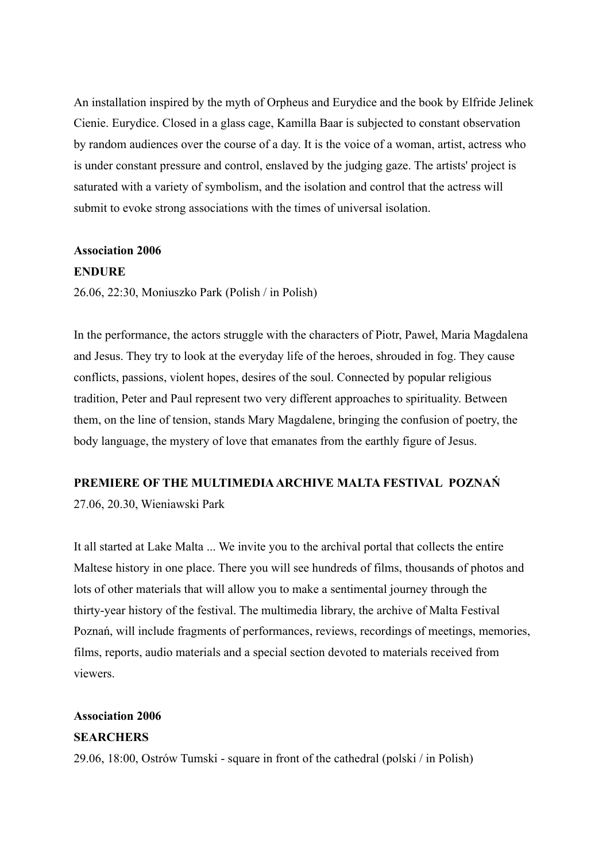An installation inspired by the myth of Orpheus and Eurydice and the book by Elfride Jelinek Cienie. Eurydice. Closed in a glass cage, Kamilla Baar is subjected to constant observation by random audiences over the course of a day. It is the voice of a woman, artist, actress who is under constant pressure and control, enslaved by the judging gaze. The artists' project is saturated with a variety of symbolism, and the isolation and control that the actress will submit to evoke strong associations with the times of universal isolation.

## **Association 2006**

### **ENDURE**

26.06, 22:30, Moniuszko Park (Polish / in Polish)

In the performance, the actors struggle with the characters of Piotr, Paweł, Maria Magdalena and Jesus. They try to look at the everyday life of the heroes, shrouded in fog. They cause conflicts, passions, violent hopes, desires of the soul. Connected by popular religious tradition, Peter and Paul represent two very different approaches to spirituality. Between them, on the line of tension, stands Mary Magdalene, bringing the confusion of poetry, the body language, the mystery of love that emanates from the earthly figure of Jesus.

### **PREMIERE OF THE MULTIMEDIAARCHIVE MALTA FESTIVAL POZNAŃ**

27.06, 20.30, Wieniawski Park

It all started at Lake Malta ... We invite you to the archival portal that collects the entire Maltese history in one place. There you will see hundreds of films, thousands of photos and lots of other materials that will allow you to make a sentimental journey through the thirty-year history of the festival. The multimedia library, the archive of Malta Festival Poznań, will include fragments of performances, reviews, recordings of meetings, memories, films, reports, audio materials and a special section devoted to materials received from viewers.

### **Association 2006**

### **SEARCHERS**

29.06, 18:00, Ostrów Tumski - square in front of the cathedral (polski / in Polish)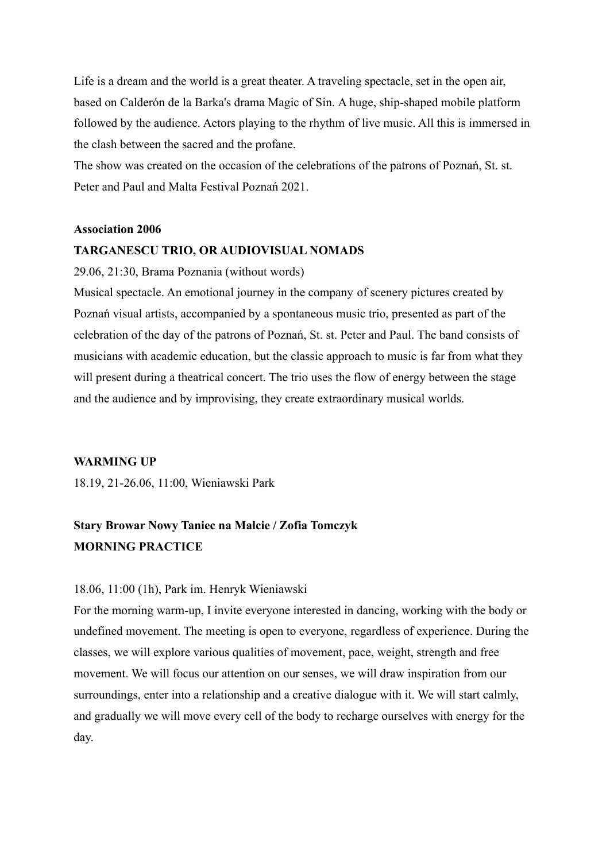Life is a dream and the world is a great theater. A traveling spectacle, set in the open air, based on Calderón de la Barka's drama Magic of Sin. A huge, ship-shaped mobile platform followed by the audience. Actors playing to the rhythm of live music. All this is immersed in the clash between the sacred and the profane.

The show was created on the occasion of the celebrations of the patrons of Poznań, St. st. Peter and Paul and Malta Festival Poznań 2021.

#### **Association 2006**

#### **TARGANESCU TRIO, OR AUDIOVISUAL NOMADS**

29.06, 21:30, Brama Poznania (without words)

Musical spectacle. An emotional journey in the company of scenery pictures created by Poznań visual artists, accompanied by a spontaneous music trio, presented as part of the celebration of the day of the patrons of Poznań, St. st. Peter and Paul. The band consists of musicians with academic education, but the classic approach to music is far from what they will present during a theatrical concert. The trio uses the flow of energy between the stage and the audience and by improvising, they create extraordinary musical worlds.

### **WARMING UP**

18.19, 21-26.06, 11:00, Wieniawski Park

## **Stary Browar Nowy Taniec na Malcie / Zofia Tomczyk MORNING PRACTICE**

### 18.06, 11:00 (1h), Park im. Henryk Wieniawski

For the morning warm-up, I invite everyone interested in dancing, working with the body or undefined movement. The meeting is open to everyone, regardless of experience. During the classes, we will explore various qualities of movement, pace, weight, strength and free movement. We will focus our attention on our senses, we will draw inspiration from our surroundings, enter into a relationship and a creative dialogue with it. We will start calmly, and gradually we will move every cell of the body to recharge ourselves with energy for the day.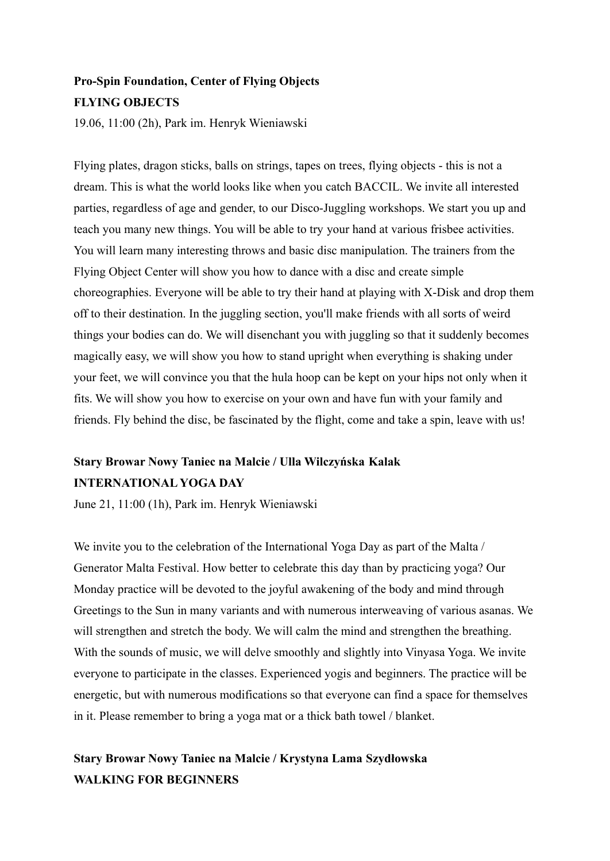## **Pro-Spin Foundation, Center of Flying Objects FLYING OBJECTS**

19.06, 11:00 (2h), Park im. Henryk Wieniawski

Flying plates, dragon sticks, balls on strings, tapes on trees, flying objects - this is not a dream. This is what the world looks like when you catch BACCIL. We invite all interested parties, regardless of age and gender, to our Disco-Juggling workshops. We start you up and teach you many new things. You will be able to try your hand at various frisbee activities. You will learn many interesting throws and basic disc manipulation. The trainers from the Flying Object Center will show you how to dance with a disc and create simple choreographies. Everyone will be able to try their hand at playing with X-Disk and drop them off to their destination. In the juggling section, you'll make friends with all sorts of weird things your bodies can do. We will disenchant you with juggling so that it suddenly becomes magically easy, we will show you how to stand upright when everything is shaking under your feet, we will convince you that the hula hoop can be kept on your hips not only when it fits. We will show you how to exercise on your own and have fun with your family and friends. Fly behind the disc, be fascinated by the flight, come and take a spin, leave with us!

## **Stary Browar Nowy Taniec na Malcie / Ulla Wilczyńska Kalak INTERNATIONAL YOGA DAY**

June 21, 11:00 (1h), Park im. Henryk Wieniawski

We invite you to the celebration of the International Yoga Day as part of the Malta / Generator Malta Festival. How better to celebrate this day than by practicing yoga? Our Monday practice will be devoted to the joyful awakening of the body and mind through Greetings to the Sun in many variants and with numerous interweaving of various asanas. We will strengthen and stretch the body. We will calm the mind and strengthen the breathing. With the sounds of music, we will delve smoothly and slightly into Vinyasa Yoga. We invite everyone to participate in the classes. Experienced yogis and beginners. The practice will be energetic, but with numerous modifications so that everyone can find a space for themselves in it. Please remember to bring a yoga mat or a thick bath towel / blanket.

## **Stary Browar Nowy Taniec na Malcie / Krystyna Lama Szydłowska WALKING FOR BEGINNERS**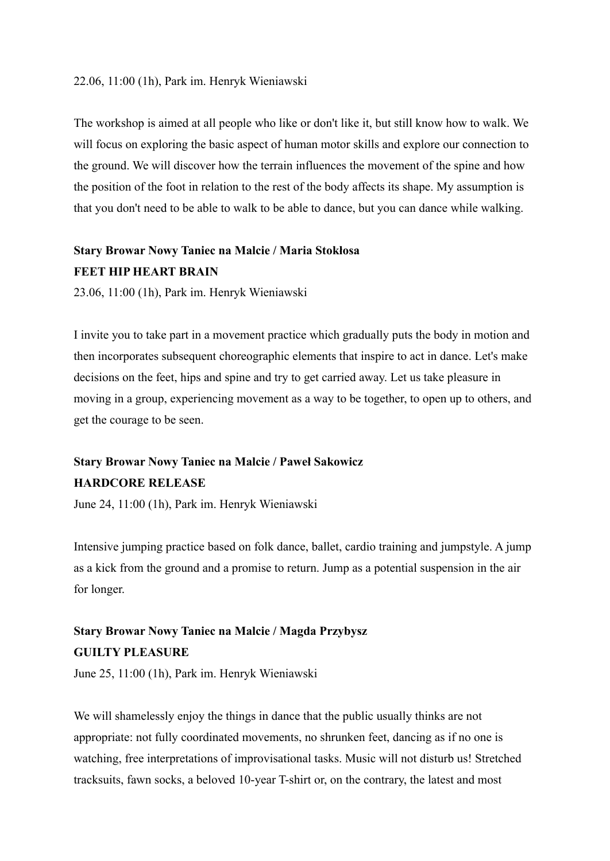### 22.06, 11:00 (1h), Park im. Henryk Wieniawski

The workshop is aimed at all people who like or don't like it, but still know how to walk. We will focus on exploring the basic aspect of human motor skills and explore our connection to the ground. We will discover how the terrain influences the movement of the spine and how the position of the foot in relation to the rest of the body affects its shape. My assumption is that you don't need to be able to walk to be able to dance, but you can dance while walking.

## **Stary Browar Nowy Taniec na Malcie / Maria Stokłosa FEET HIP HEART BRAIN**

23.06, 11:00 (1h), Park im. Henryk Wieniawski

I invite you to take part in a movement practice which gradually puts the body in motion and then incorporates subsequent choreographic elements that inspire to act in dance. Let's make decisions on the feet, hips and spine and try to get carried away. Let us take pleasure in moving in a group, experiencing movement as a way to be together, to open up to others, and get the courage to be seen.

## **Stary Browar Nowy Taniec na Malcie / Paweł Sakowicz HARDCORE RELEASE**

June 24, 11:00 (1h), Park im. Henryk Wieniawski

Intensive jumping practice based on folk dance, ballet, cardio training and jumpstyle. A jump as a kick from the ground and a promise to return. Jump as a potential suspension in the air for longer.

## **Stary Browar Nowy Taniec na Malcie / Magda Przybysz GUILTY PLEASURE**

June 25, 11:00 (1h), Park im. Henryk Wieniawski

We will shamelessly enjoy the things in dance that the public usually thinks are not appropriate: not fully coordinated movements, no shrunken feet, dancing as if no one is watching, free interpretations of improvisational tasks. Music will not disturb us! Stretched tracksuits, fawn socks, a beloved 10-year T-shirt or, on the contrary, the latest and most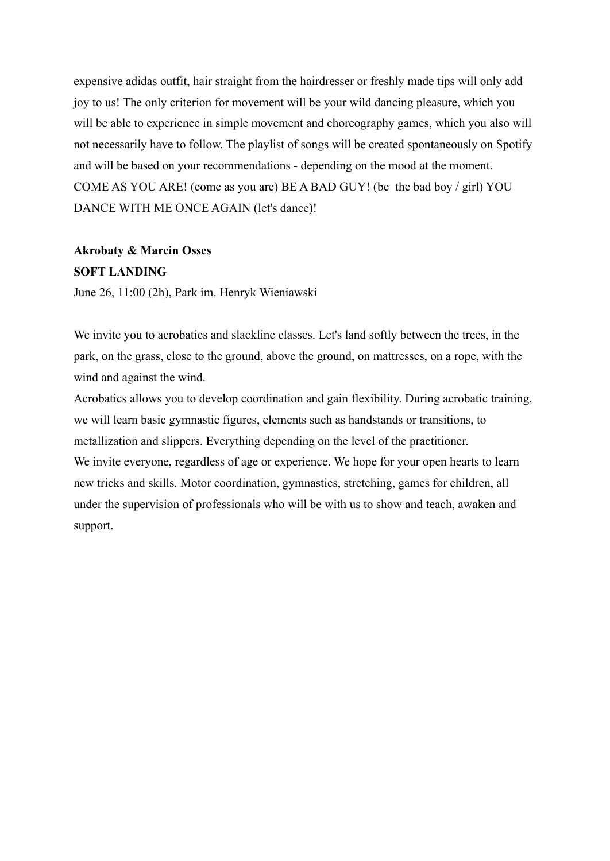expensive adidas outfit, hair straight from the hairdresser or freshly made tips will only add joy to us! The only criterion for movement will be your wild dancing pleasure, which you will be able to experience in simple movement and choreography games, which you also will not necessarily have to follow. The playlist of songs will be created spontaneously on Spotify and will be based on your recommendations - depending on the mood at the moment. COME AS YOU ARE! (come as you are) BE A BAD GUY! (be the bad boy / girl) YOU DANCE WITH ME ONCE AGAIN (let's dance)!

## **Akrobaty & Marcin Osses SOFT LANDING**

June 26, 11:00 (2h), Park im. Henryk Wieniawski

We invite you to acrobatics and slackline classes. Let's land softly between the trees, in the park, on the grass, close to the ground, above the ground, on mattresses, on a rope, with the wind and against the wind.

Acrobatics allows you to develop coordination and gain flexibility. During acrobatic training, we will learn basic gymnastic figures, elements such as handstands or transitions, to metallization and slippers. Everything depending on the level of the practitioner. We invite everyone, regardless of age or experience. We hope for your open hearts to learn new tricks and skills. Motor coordination, gymnastics, stretching, games for children, all under the supervision of professionals who will be with us to show and teach, awaken and support.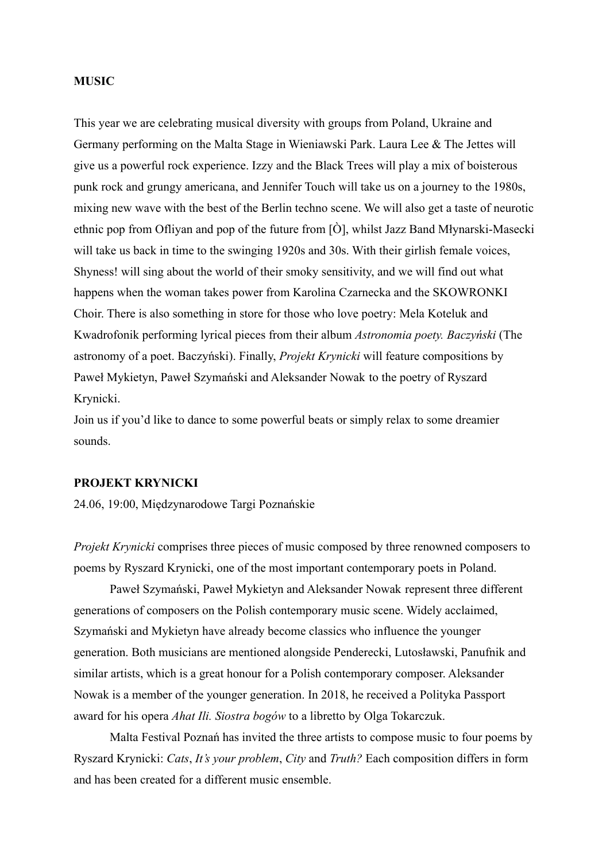### **MUSIC**

This year we are celebrating musical diversity with groups from Poland, Ukraine and Germany performing on the Malta Stage in Wieniawski Park. Laura Lee & The Jettes will give us a powerful rock experience. Izzy and the Black Trees will play a mix of boisterous punk rock and grungy americana, and Jennifer Touch will take us on a journey to the 1980s, mixing new wave with the best of the Berlin techno scene. We will also get a taste of neurotic ethnic pop from Ofliyan and pop of the future from [Ò], whilst Jazz Band Młynarski-Masecki will take us back in time to the swinging 1920s and 30s. With their girlish female voices, Shyness! will sing about the world of their smoky sensitivity, and we will find out what happens when the woman takes power from Karolina Czarnecka and the SKOWRONKI Choir. There is also something in store for those who love poetry: Mela Koteluk and Kwadrofonik performing lyrical pieces from their album *Astronomia poety. Baczyński* (The astronomy of a poet. Baczyński). Finally, *Projekt Krynicki* will feature compositions by Paweł Mykietyn, Paweł Szymański and Aleksander Nowak to the poetry of Ryszard Krynicki.

Join us if you'd like to dance to some powerful beats or simply relax to some dreamier sounds.

### **PROJEKT KRYNICKI**

24.06, 19:00, Międzynarodowe Targi Poznańskie

*Projekt Krynicki* comprises three pieces of music composed by three renowned composers to poems by Ryszard Krynicki, one of the most important contemporary poets in Poland.

Paweł Szymański, Paweł Mykietyn and Aleksander Nowak represent three different generations of composers on the Polish contemporary music scene. Widely acclaimed, Szymański and Mykietyn have already become classics who influence the younger generation. Both musicians are mentioned alongside Penderecki, Lutosławski, Panufnik and similar artists, which is a great honour for a Polish contemporary composer. Aleksander Nowak is a member of the younger generation. In 2018, he received a Polityka Passport award for his opera *Ahat Ili. Siostra bogów* to a libretto by Olga Tokarczuk.

Malta Festival Poznań has invited the three artists to compose music to four poems by Ryszard Krynicki: *Cats*, *It's your problem*, *City* and *Truth?* Each composition differs in form and has been created for a different music ensemble.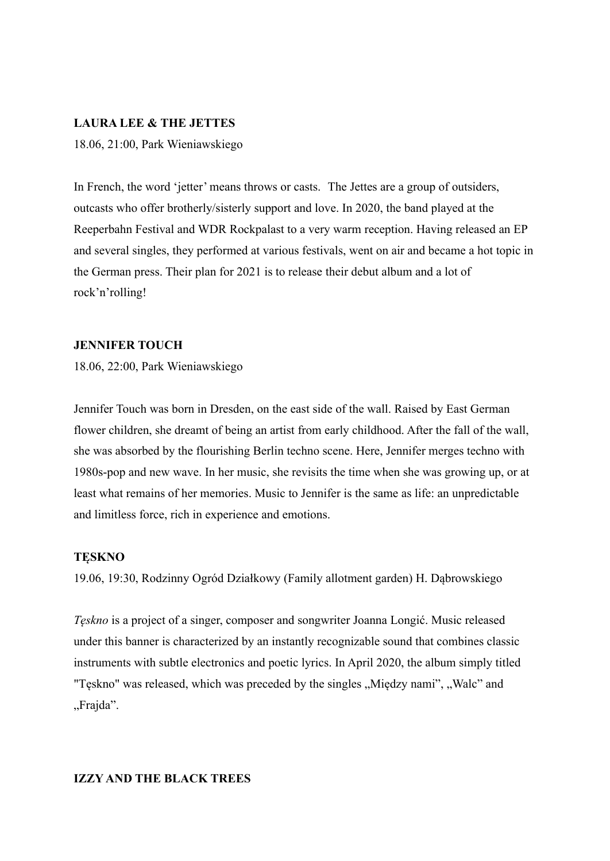### **LAURA LEE & THE JETTES**

18.06, 21:00, Park Wieniawskiego

In French, the word 'jetter' means throws or casts. The Jettes are a group of outsiders, outcasts who offer brotherly/sisterly support and love. In 2020, the band played at the Reeperbahn Festival and WDR Rockpalast to a very warm reception. Having released an EP and several singles, they performed at various festivals, went on air and became a hot topic in the German press. Their plan for 2021 is to release their debut album and a lot of rock'n'rolling!

### **JENNIFER TOUCH**

18.06, 22:00, Park Wieniawskiego

Jennifer Touch was born in Dresden, on the east side of the wall. Raised by East German flower children, she dreamt of being an artist from early childhood. After the fall of the wall, she was absorbed by the flourishing Berlin techno scene. Here, Jennifer merges techno with 1980s-pop and new wave. In her music, she revisits the time when she was growing up, or at least what remains of her memories. Music to Jennifer is the same as life: an unpredictable and limitless force, rich in experience and emotions.

### **TĘSKNO**

19.06, 19:30, Rodzinny Ogród Działkowy (Family allotment garden) H. Dąbrowskiego

*Tęskno* is a project of a singer, composer and songwriter Joanna Longić. Music released under this banner is characterized by an instantly recognizable sound that combines classic instruments with subtle electronics and poetic lyrics. In April 2020, the album simply titled "Tęskno" was released, which was preceded by the singles "Między nami", "Walc" and "Frajda".

### **IZZY AND THE BLACK TREES**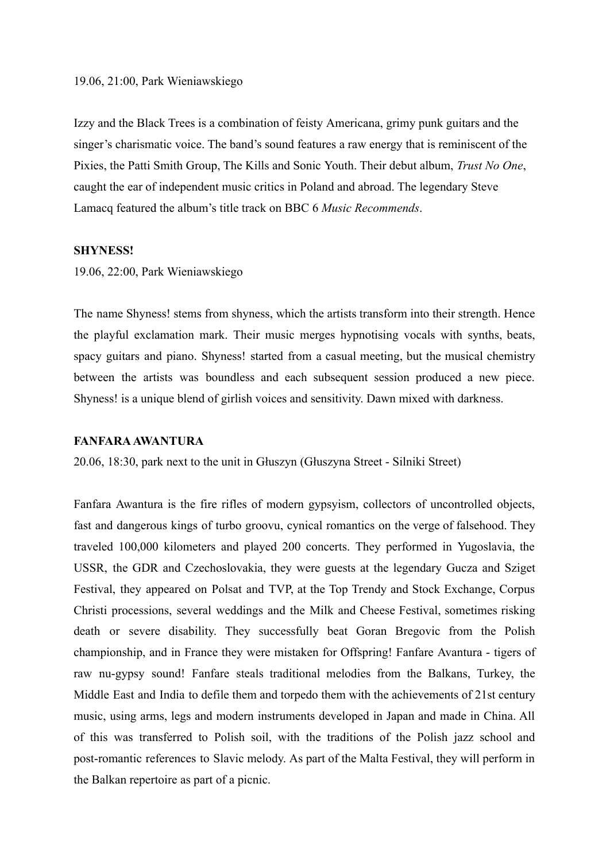#### 19.06, 21:00, Park Wieniawskiego

Izzy and the Black Trees is a combination of feisty Americana, grimy punk guitars and the singer's charismatic voice. The band's sound features a raw energy that is reminiscent of the Pixies, the Patti Smith Group, The Kills and Sonic Youth. Their debut album, *Trust No One*, caught the ear of independent music critics in Poland and abroad. The legendary Steve Lamacq featured the album's title track on BBC 6 *Music Recommends*.

### **SHYNESS!**

19.06, 22:00, Park Wieniawskiego

The name Shyness! stems from shyness, which the artists transform into their strength. Hence the playful exclamation mark. Their music merges hypnotising vocals with synths, beats, spacy guitars and piano. Shyness! started from a casual meeting, but the musical chemistry between the artists was boundless and each subsequent session produced a new piece. Shyness! is a unique blend of girlish voices and sensitivity. Dawn mixed with darkness.

### **FANFARAAWANTURA**

20.06, 18:30, park next to the unit in Głuszyn (Głuszyna Street - Silniki Street)

Fanfara Awantura is the fire rifles of modern gypsyism, collectors of uncontrolled objects, fast and dangerous kings of turbo groovu, cynical romantics on the verge of falsehood. They traveled 100,000 kilometers and played 200 concerts. They performed in Yugoslavia, the USSR, the GDR and Czechoslovakia, they were guests at the legendary Gucza and Sziget Festival, they appeared on Polsat and TVP, at the Top Trendy and Stock Exchange, Corpus Christi processions, several weddings and the Milk and Cheese Festival, sometimes risking death or severe disability. They successfully beat Goran Bregovic from the Polish championship, and in France they were mistaken for Offspring! Fanfare Avantura - tigers of raw nu-gypsy sound! Fanfare steals traditional melodies from the Balkans, Turkey, the Middle East and India to defile them and torpedo them with the achievements of 21st century music, using arms, legs and modern instruments developed in Japan and made in China. All of this was transferred to Polish soil, with the traditions of the Polish jazz school and post-romantic references to Slavic melody. As part of the Malta Festival, they will perform in the Balkan repertoire as part of a picnic.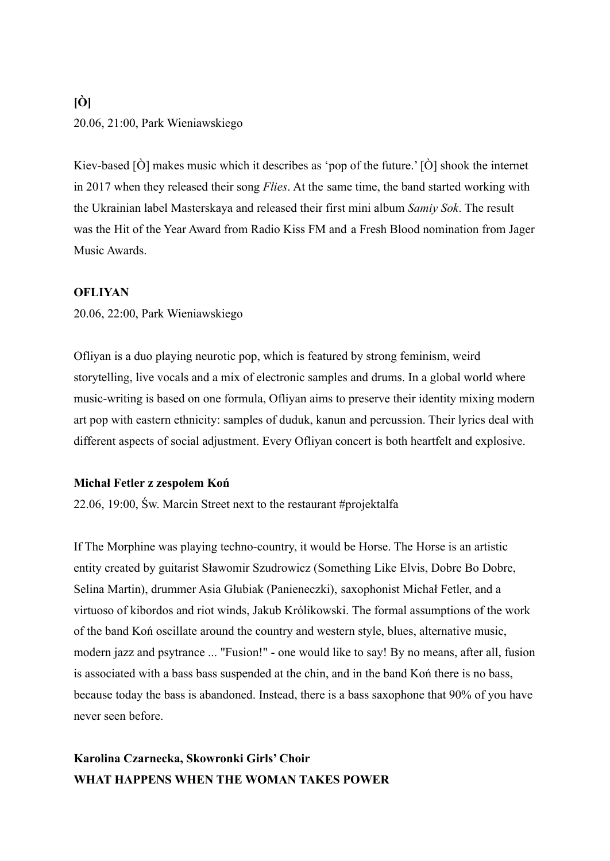## **[Ò]** 20.06, 21:00, Park Wieniawskiego

Kiev-based [Ò] makes music which it describes as 'pop of the future.' [Ò] shook the internet in 2017 when they released their song *Flies*. At the same time, the band started working with the Ukrainian label Masterskaya and released their first mini album *Samiy Sok*. The result was the Hit of the Year Award from Radio Kiss FM and a Fresh Blood nomination from Jager Music Awards.

### **OFLIYAN**

20.06, 22:00, Park Wieniawskiego

Ofliyan is a duo playing neurotic pop, which is featured by strong feminism, weird storytelling, live vocals and a mix of electronic samples and drums. In a global world where music-writing is based on one formula, Ofliyan aims to preserve their identity mixing modern art pop with eastern ethnicity: samples of duduk, kanun and percussion. Their lyrics deal with different aspects of social adjustment. Every Ofliyan concert is both heartfelt and explosive.

### **Michał Fetler z zespołem Koń**

22.06, 19:00, Św. Marcin Street next to the restaurant [#projektalfa](https://www.facebook.com/hashtag/projektalfa?__eep__=6&__cft__[0]=AZV79bl5l-YR1cUVHJ9Z672cgMa7Tn1FVXxZ6C6d38egsIRVf9zVDqotOQYUP9xWav6sGTfzMjjl4rZ8HfhfomwYQTewnxWJpd99kJIuT3aKnYky5hZNr2LIudvWa4MRMuKUwlVwTX3NuV1Hg7kG6-D2&__tn__=q)

If The Morphine was playing techno-country, it would be Horse. The Horse is an artistic entity created by guitarist Sławomir Szudrowicz (Something Like Elvis, Dobre Bo Dobre, Selina Martin), drummer Asia Glubiak (Panieneczki), saxophonist Michał Fetler, and a virtuoso of kibordos and riot winds, Jakub Królikowski. The formal assumptions of the work of the band Koń oscillate around the country and western style, blues, alternative music, modern jazz and psytrance ... "Fusion!" - one would like to say! By no means, after all, fusion is associated with a bass bass suspended at the chin, and in the band Koń there is no bass, because today the bass is abandoned. Instead, there is a bass saxophone that 90% of you have never seen before.

## **Karolina Czarnecka, Skowronki Girls' Choir WHAT HAPPENS WHEN THE WOMAN TAKES POWER**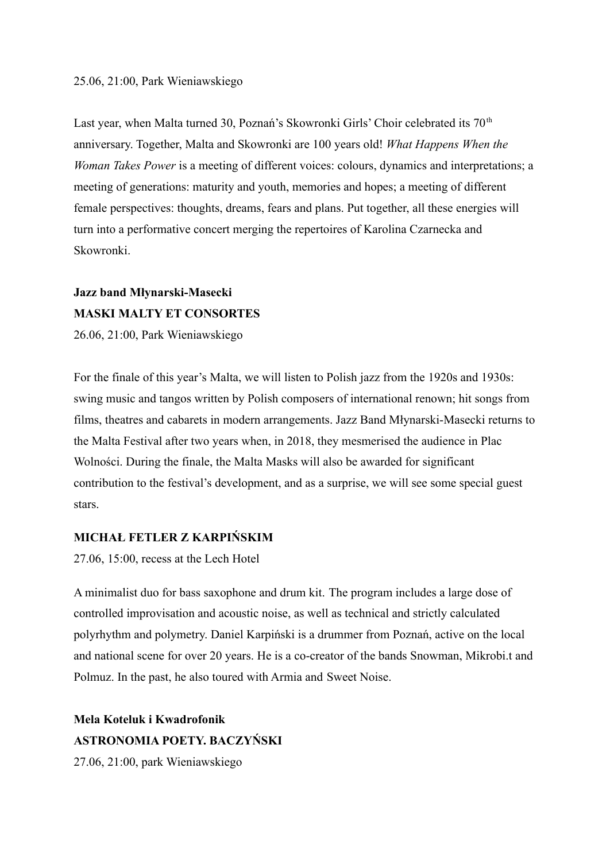### 25.06, 21:00, Park Wieniawskiego

Last year, when Malta turned 30, Poznań's Skowronki Girls' Choir celebrated its 70<sup>th</sup> anniversary. Together, Malta and Skowronki are 100 years old! *What Happens When the Woman Takes Power* is a meeting of different voices: colours, dynamics and interpretations; a meeting of generations: maturity and youth, memories and hopes; a meeting of different female perspectives: thoughts, dreams, fears and plans. Put together, all these energies will turn into a performative concert merging the repertoires of Karolina Czarnecka and Skowronki.

# **Jazz band Młynarski-Masecki MASKI MALTY ET CONSORTES**

26.06, 21:00, Park Wieniawskiego

For the finale of this year's Malta, we will listen to Polish jazz from the 1920s and 1930s: swing music and tangos written by Polish composers of international renown; hit songs from films, theatres and cabarets in modern arrangements. Jazz Band Młynarski-Masecki returns to the Malta Festival after two years when, in 2018, they mesmerised the audience in Plac Wolności. During the finale, the Malta Masks will also be awarded for significant contribution to the festival's development, and as a surprise, we will see some special guest stars.

### **MICHAŁ FETLER Z KARPIŃSKIM**

27.06, 15:00, recess at the Lech Hotel

A minimalist duo for bass saxophone and drum kit. The program includes a large dose of controlled improvisation and acoustic noise, as well as technical and strictly calculated polyrhythm and polymetry. Daniel Karpiński is a drummer from Poznań, active on the local and national scene for over 20 years. He is a co-creator of the bands Snowman, Mikrobi.t and Polmuz. In the past, he also toured with Armia and Sweet Noise.

**Mela Koteluk i Kwadrofonik ASTRONOMIA POETY. BACZYŃSKI**

27.06, 21:00, park Wieniawskiego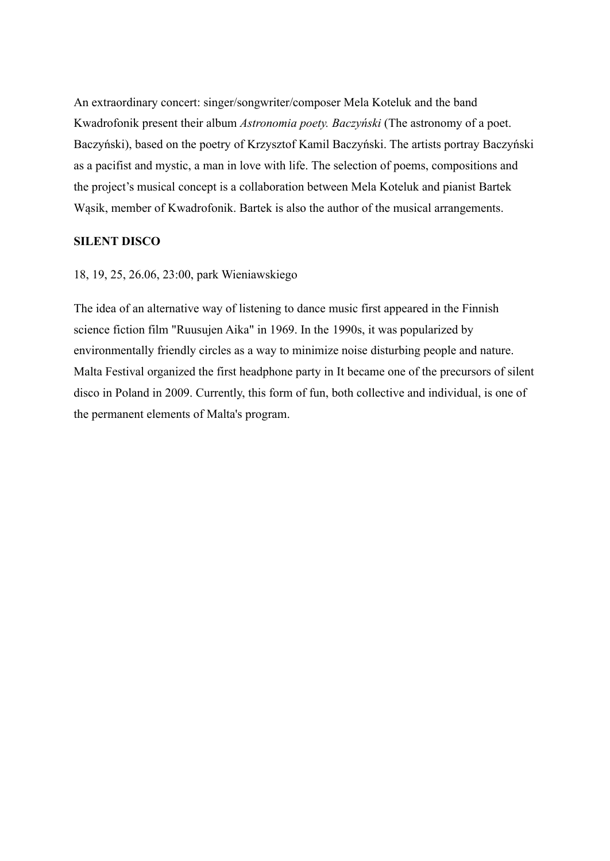An extraordinary concert: singer/songwriter/composer Mela Koteluk and the band Kwadrofonik present their album *Astronomia poety. Baczyński* (The astronomy of a poet. Baczyński), based on the poetry of Krzysztof Kamil Baczyński. The artists portray Baczyński as a pacifist and mystic, a man in love with life. The selection of poems, compositions and the project's musical concept is a collaboration between Mela Koteluk and pianist Bartek Wąsik, member of Kwadrofonik. Bartek is also the author of the musical arrangements.

### **SILENT DISCO**

### 18, 19, 25, 26.06, 23:00, park Wieniawskiego

The idea of an alternative way of listening to dance music first appeared in the Finnish science fiction film "Ruusujen Aika" in 1969. In the 1990s, it was popularized by environmentally friendly circles as a way to minimize noise disturbing people and nature. Malta Festival organized the first headphone party in It became one of the precursors of silent disco in Poland in 2009. Currently, this form of fun, both collective and individual, is one of the permanent elements of Malta's program.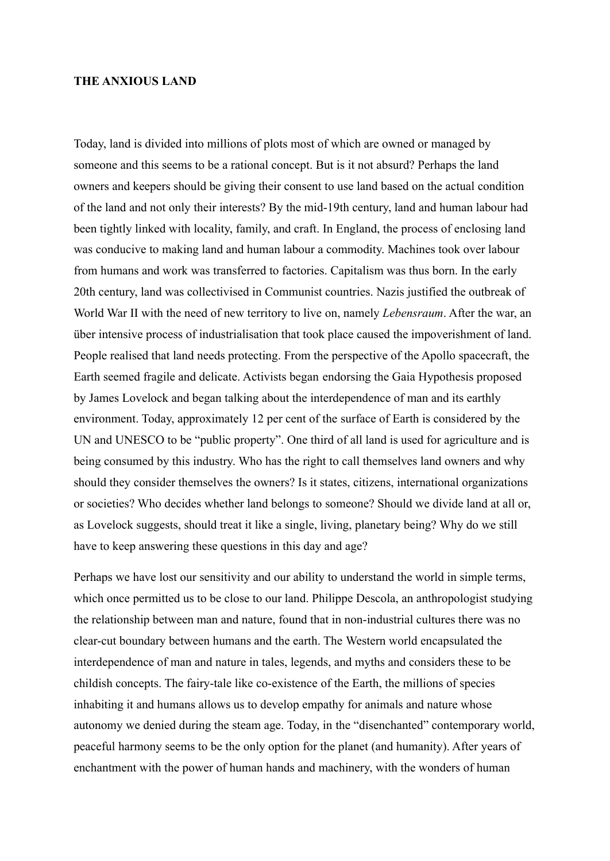### **THE ANXIOUS LAND**

Today, land is divided into millions of plots most of which are owned or managed by someone and this seems to be a rational concept. But is it not absurd? Perhaps the land owners and keepers should be giving their consent to use land based on the actual condition of the land and not only their interests? By the mid-19th century, land and human labour had been tightly linked with locality, family, and craft. In England, the process of enclosing land was conducive to making land and human labour a commodity. Machines took over labour from humans and work was transferred to factories. Capitalism was thus born. In the early 20th century, land was collectivised in Communist countries. Nazis justified the outbreak of World War II with the need of new territory to live on, namely *Lebensraum*. After the war, an über intensive process of industrialisation that took place caused the impoverishment of land. People realised that land needs protecting. From the perspective of the Apollo spacecraft, the Earth seemed fragile and delicate. Activists began endorsing the Gaia Hypothesis proposed by James Lovelock and began talking about the interdependence of man and its earthly environment. Today, approximately 12 per cent of the surface of Earth is considered by the UN and UNESCO to be "public property". One third of all land is used for agriculture and is being consumed by this industry. Who has the right to call themselves land owners and why should they consider themselves the owners? Is it states, citizens, international organizations or societies? Who decides whether land belongs to someone? Should we divide land at all or, as Lovelock suggests, should treat it like a single, living, planetary being? Why do we still have to keep answering these questions in this day and age?

Perhaps we have lost our sensitivity and our ability to understand the world in simple terms, which once permitted us to be close to our land. Philippe Descola, an anthropologist studying the relationship between man and nature, found that in non-industrial cultures there was no clear-cut boundary between humans and the earth. The Western world encapsulated the interdependence of man and nature in tales, legends, and myths and considers these to be childish concepts. The fairy-tale like co-existence of the Earth, the millions of species inhabiting it and humans allows us to develop empathy for animals and nature whose autonomy we denied during the steam age. Today, in the "disenchanted" contemporary world, peaceful harmony seems to be the only option for the planet (and humanity). After years of enchantment with the power of human hands and machinery, with the wonders of human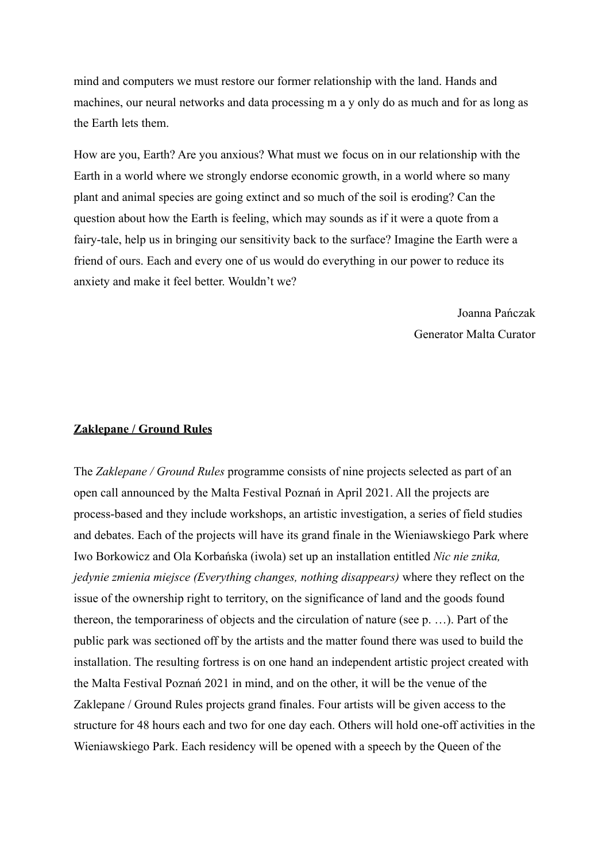mind and computers we must restore our former relationship with the land. Hands and machines, our neural networks and data processing m a y only do as much and for as long as the Earth lets them.

How are you, Earth? Are you anxious? What must we focus on in our relationship with the Earth in a world where we strongly endorse economic growth, in a world where so many plant and animal species are going extinct and so much of the soil is eroding? Can the question about how the Earth is feeling, which may sounds as if it were a quote from a fairy-tale, help us in bringing our sensitivity back to the surface? Imagine the Earth were a friend of ours. Each and every one of us would do everything in our power to reduce its anxiety and make it feel better. Wouldn't we?

> Joanna Pańczak Generator Malta Curator

### **Zaklepane / Ground Rules**

The *Zaklepane / Ground Rules* programme consists of nine projects selected as part of an open call announced by the Malta Festival Poznań in April 2021. All the projects are process-based and they include workshops, an artistic investigation, a series of field studies and debates. Each of the projects will have its grand finale in the Wieniawskiego Park where Iwo Borkowicz and Ola Korbańska (iwola) set up an installation entitled *Nic nie znika, jedynie zmienia miejsce (Everything changes, nothing disappears)* where they reflect on the issue of the ownership right to territory, on the significance of land and the goods found thereon, the temporariness of objects and the circulation of nature (see p. …). Part of the public park was sectioned off by the artists and the matter found there was used to build the installation. The resulting fortress is on one hand an independent artistic project created with the Malta Festival Poznań 2021 in mind, and on the other, it will be the venue of the Zaklepane / Ground Rules projects grand finales. Four artists will be given access to the structure for 48 hours each and two for one day each. Others will hold one-off activities in the Wieniawskiego Park. Each residency will be opened with a speech by the Queen of the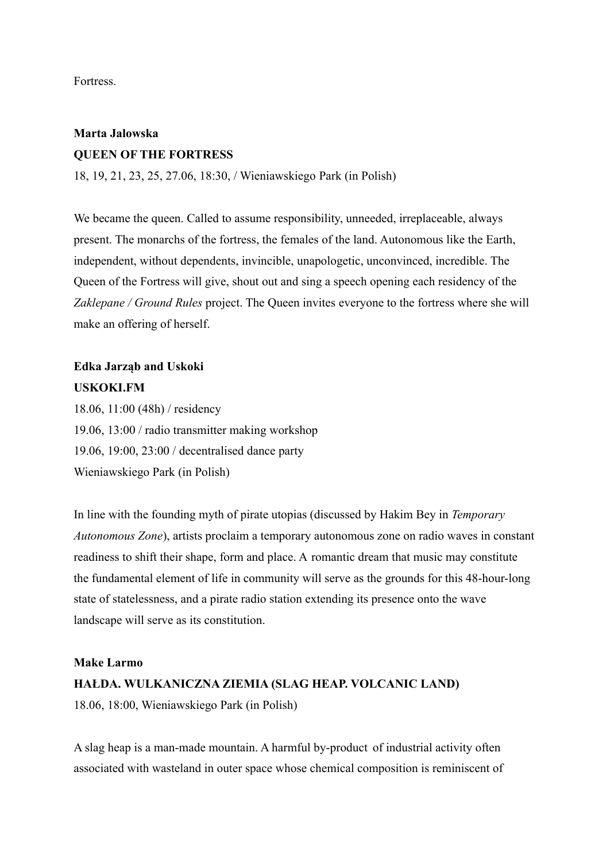**Fortress** 

## **Marta Jalowska QUEEN OF THE FORTRESS**

18, 19, 21, 23, 25, 27.06, 18:30, / Wieniawskiego Park (in Polish)

We became the queen. Called to assume responsibility, unneeded, irreplaceable, always present. The monarchs of the fortress, the females of the land. Autonomous like the Earth, independent, without dependents, invincible, unapologetic, unconvinced, incredible. The Queen of the Fortress will give, shout out and sing a speech opening each residency of the *Zaklepane / Ground Rules* project. The Queen invites everyone to the fortress where she will make an offering of herself.

## **Edka Jarząb and Uskoki USKOKI.FM**

18.06, 11:00 (48h) / residency 19.06, 13:00 / radio transmitter making workshop 19.06, 19:00, 23:00 / decentralised dance party Wieniawskiego Park (in Polish)

In line with the founding myth of pirate utopias (discussed by Hakim Bey in *Temporary Autonomous Zone*), artists proclaim a temporary autonomous zone on radio waves in constant readiness to shift their shape, form and place. A romantic dream that music may constitute the fundamental element of life in community will serve as the grounds for this 48-hour-long state of statelessness, and a pirate radio station extending its presence onto the wave landscape will serve as its constitution.

### **Make Larmo**

### **HAŁDA. WULKANICZNA ZIEMIA (SLAG HEAP. VOLCANIC LAND)**

18.06, 18:00, Wieniawskiego Park (in Polish)

A slag heap is a man-made mountain. A harmful by-product of industrial activity often associated with wasteland in outer space whose chemical composition is reminiscent of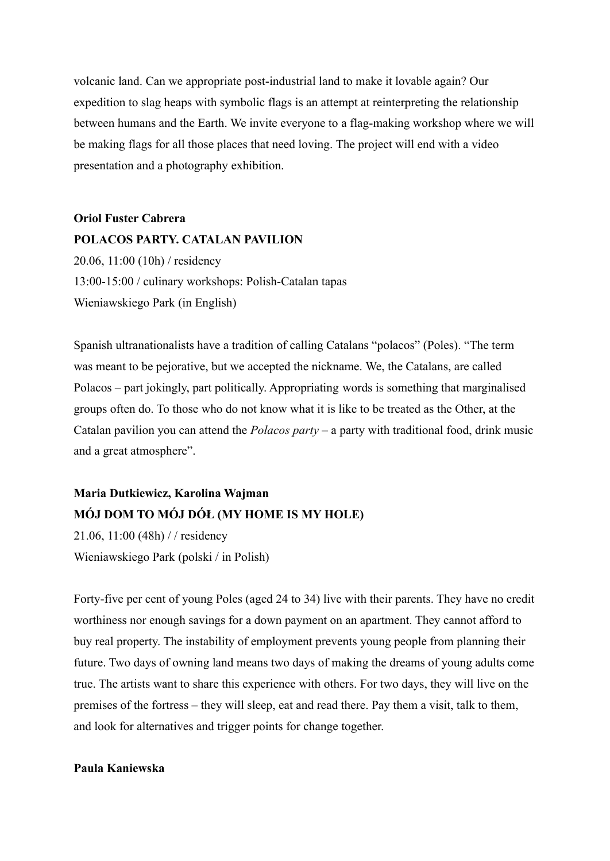volcanic land. Can we appropriate post-industrial land to make it lovable again? Our expedition to slag heaps with symbolic flags is an attempt at reinterpreting the relationship between humans and the Earth. We invite everyone to a flag-making workshop where we will be making flags for all those places that need loving. The project will end with a video presentation and a photography exhibition.

**Oriol Fuster Cabrera POLACOS PARTY. CATALAN PAVILION** 20.06, 11:00 (10h) / residency 13:00-15:00 / culinary workshops: Polish-Catalan tapas Wieniawskiego Park (in English)

Spanish ultranationalists have a tradition of calling Catalans "polacos" (Poles). "The term was meant to be pejorative, but we accepted the nickname. We, the Catalans, are called Polacos – part jokingly, part politically. Appropriating words is something that marginalised groups often do. To those who do not know what it is like to be treated as the Other, at the Catalan pavilion you can attend the *Polacos party –* a party with traditional food, drink music and a great atmosphere".

## **Maria Dutkiewicz, Karolina Wajman MÓJ DOM TO MÓJ DÓŁ (MY HOME IS MY HOLE)**

21.06, 11:00 (48h) / / residency Wieniawskiego Park (polski / in Polish)

Forty-five per cent of young Poles (aged 24 to 34) live with their parents. They have no credit worthiness nor enough savings for a down payment on an apartment. They cannot afford to buy real property. The instability of employment prevents young people from planning their future. Two days of owning land means two days of making the dreams of young adults come true. The artists want to share this experience with others. For two days, they will live on the premises of the fortress – they will sleep, eat and read there. Pay them a visit, talk to them, and look for alternatives and trigger points for change together.

### **Paula Kaniewska**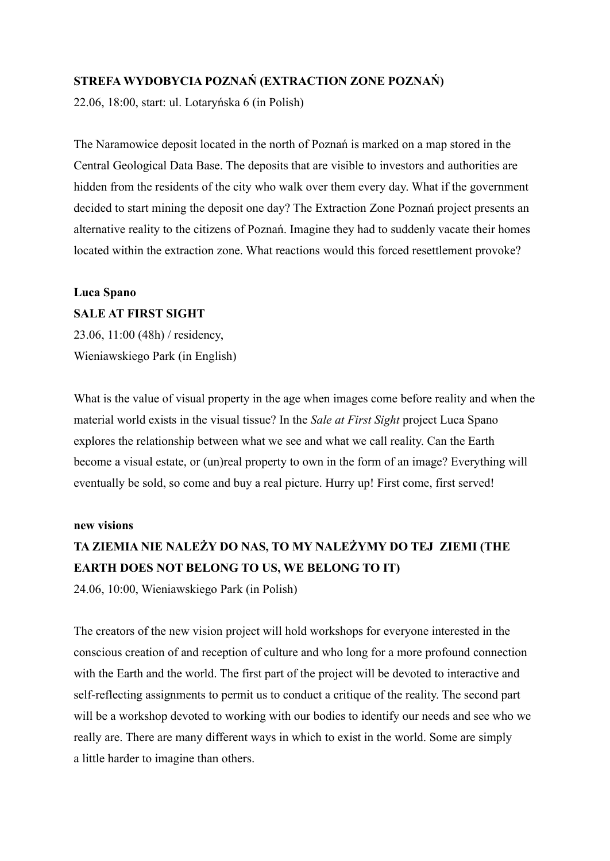### **STREFA WYDOBYCIA POZNAŃ (EXTRACTION ZONE POZNAŃ)**

22.06, 18:00, start: ul. Lotaryńska 6 (in Polish)

The Naramowice deposit located in the north of Poznań is marked on a map stored in the Central Geological Data Base. The deposits that are visible to investors and authorities are hidden from the residents of the city who walk over them every day. What if the government decided to start mining the deposit one day? The Extraction Zone Poznań project presents an alternative reality to the citizens of Poznań. Imagine they had to suddenly vacate their homes located within the extraction zone. What reactions would this forced resettlement provoke?

## **Luca Spano SALE AT FIRST SIGHT**

23.06, 11:00 (48h) / residency, Wieniawskiego Park (in English)

What is the value of visual property in the age when images come before reality and when the material world exists in the visual tissue? In the *Sale at First Sight* project Luca Spano explores the relationship between what we see and what we call reality. Can the Earth become a visual estate, or (un)real property to own in the form of an image? Everything will eventually be sold, so come and buy a real picture. Hurry up! First come, first served!

### **new visions**

# **TA ZIEMIA NIE NALEŻY DO NAS, TO MY NALEŻYMY DO TEJ ZIEMI (THE EARTH DOES NOT BELONG TO US, WE BELONG TO IT)**

24.06, 10:00, Wieniawskiego Park (in Polish)

The creators of the new vision project will hold workshops for everyone interested in the conscious creation of and reception of culture and who long for a more profound connection with the Earth and the world. The first part of the project will be devoted to interactive and self-reflecting assignments to permit us to conduct a critique of the reality. The second part will be a workshop devoted to working with our bodies to identify our needs and see who we really are. There are many different ways in which to exist in the world. Some are simply a little harder to imagine than others.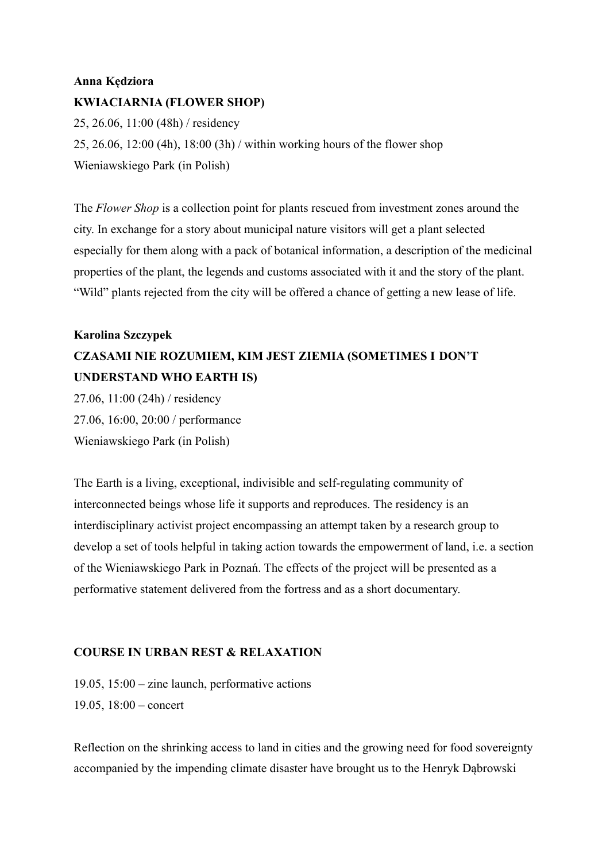## **Anna Kędziora KWIACIARNIA (FLOWER SHOP)**

25, 26.06, 11:00 (48h) / residency 25, 26.06, 12:00 (4h), 18:00 (3h) / within working hours of the flower shop Wieniawskiego Park (in Polish)

The *Flower Shop* is a collection point for plants rescued from investment zones around the city. In exchange for a story about municipal nature visitors will get a plant selected especially for them along with a pack of botanical information, a description of the medicinal properties of the plant, the legends and customs associated with it and the story of the plant. "Wild" plants rejected from the city will be offered a chance of getting a new lease of life.

## **Karolina Szczypek CZASAMI NIE ROZUMIEM, KIM JEST ZIEMIA (SOMETIMES I DON'T UNDERSTAND WHO EARTH IS)**

27.06, 11:00 (24h) / residency 27.06, 16:00, 20:00 / performance Wieniawskiego Park (in Polish)

The Earth is a living, exceptional, indivisible and self-regulating community of interconnected beings whose life it supports and reproduces. The residency is an interdisciplinary activist project encompassing an attempt taken by a research group to develop a set of tools helpful in taking action towards the empowerment of land, i.e. a section of the Wieniawskiego Park in Poznań. The effects of the project will be presented as a performative statement delivered from the fortress and as a short documentary.

### **COURSE IN URBAN REST & RELAXATION**

19.05, 15:00 – zine launch, performative actions 19.05, 18:00 – concert

Reflection on the shrinking access to land in cities and the growing need for food sovereignty accompanied by the impending climate disaster have brought us to the Henryk Dąbrowski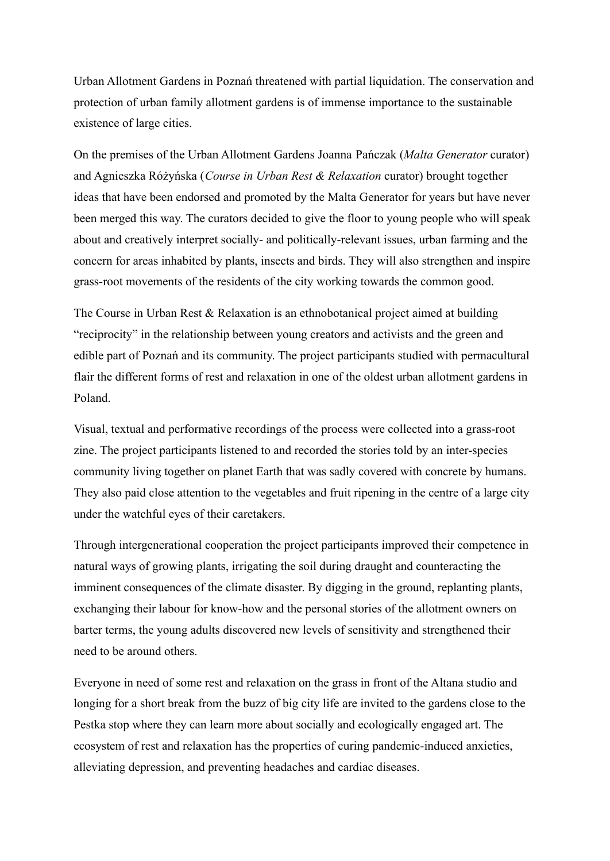Urban Allotment Gardens in Poznań threatened with partial liquidation. The conservation and protection of urban family allotment gardens is of immense importance to the sustainable existence of large cities.

On the premises of the Urban Allotment Gardens Joanna Pańczak (*Malta Generator* curator) and Agnieszka Różyńska (*Course in Urban Rest & Relaxation* curator) brought together ideas that have been endorsed and promoted by the Malta Generator for years but have never been merged this way. The curators decided to give the floor to young people who will speak about and creatively interpret socially- and politically-relevant issues, urban farming and the concern for areas inhabited by plants, insects and birds. They will also strengthen and inspire grass-root movements of the residents of the city working towards the common good.

The Course in Urban Rest & Relaxation is an ethnobotanical project aimed at building "reciprocity" in the relationship between young creators and activists and the green and edible part of Poznań and its community. The project participants studied with permacultural flair the different forms of rest and relaxation in one of the oldest urban allotment gardens in Poland.

Visual, textual and performative recordings of the process were collected into a grass-root zine. The project participants listened to and recorded the stories told by an inter-species community living together on planet Earth that was sadly covered with concrete by humans. They also paid close attention to the vegetables and fruit ripening in the centre of a large city under the watchful eyes of their caretakers.

Through intergenerational cooperation the project participants improved their competence in natural ways of growing plants, irrigating the soil during draught and counteracting the imminent consequences of the climate disaster. By digging in the ground, replanting plants, exchanging their labour for know-how and the personal stories of the allotment owners on barter terms, the young adults discovered new levels of sensitivity and strengthened their need to be around others.

Everyone in need of some rest and relaxation on the grass in front of the Altana studio and longing for a short break from the buzz of big city life are invited to the gardens close to the Pestka stop where they can learn more about socially and ecologically engaged art. The ecosystem of rest and relaxation has the properties of curing pandemic-induced anxieties, alleviating depression, and preventing headaches and cardiac diseases.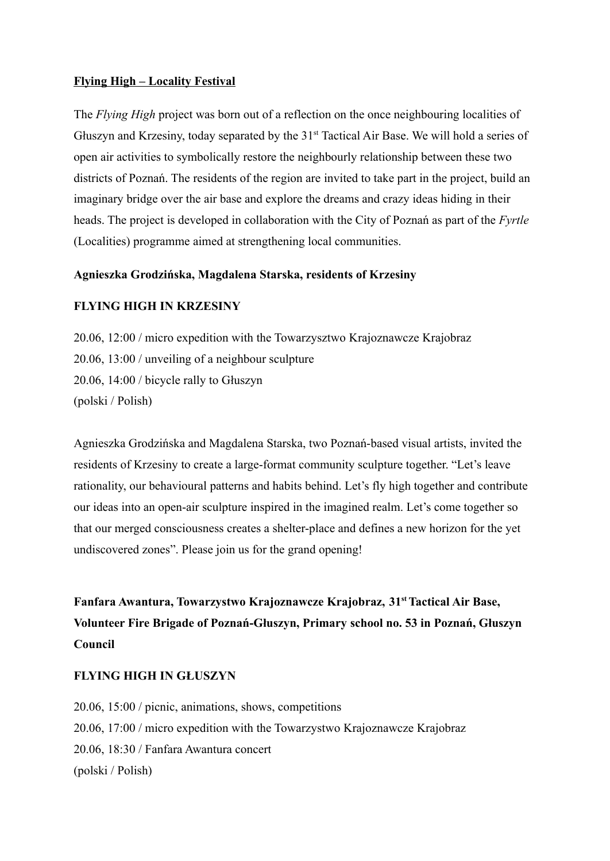### **Flying High – Locality Festival**

The *Flying High* project was born out of a reflection on the once neighbouring localities of Głuszyn and Krzesiny, today separated by the 31<sup>st</sup> Tactical Air Base. We will hold a series of open air activities to symbolically restore the neighbourly relationship between these two districts of Poznań. The residents of the region are invited to take part in the project, build an imaginary bridge over the air base and explore the dreams and crazy ideas hiding in their heads. The project is developed in collaboration with the City of Poznań as part of the *Fyrtle* (Localities) programme aimed at strengthening local communities.

### **Agnieszka Grodzińska, Magdalena Starska, residents of Krzesiny**

### **FLYING HIGH IN KRZESINY**

20.06, 12:00 / micro expedition with the Towarzysztwo Krajoznawcze Krajobraz 20.06, 13:00 / unveiling of a neighbour sculpture 20.06, 14:00 / bicycle rally to Głuszyn (polski / Polish)

Agnieszka Grodzińska and Magdalena Starska, two Poznań-based visual artists, invited the residents of Krzesiny to create a large-format community sculpture together. "Let's leave rationality, our behavioural patterns and habits behind. Let's fly high together and contribute our ideas into an open-air sculpture inspired in the imagined realm. Let's come together so that our merged consciousness creates a shelter-place and defines a new horizon for the yet undiscovered zones". Please join us for the grand opening!

**Fanfara Awantura, Towarzystwo Krajoznawcze Krajobraz, 31stTactical Air Base, Volunteer Fire Brigade of Poznań-Głuszyn, Primary school no. 53 in Poznań, Głuszyn Council**

### **FLYING HIGH IN GŁUSZYN**

20.06, 15:00 / picnic, animations, shows, competitions 20.06, 17:00 / micro expedition with the Towarzystwo Krajoznawcze Krajobraz 20.06, 18:30 / Fanfara Awantura concert (polski / Polish)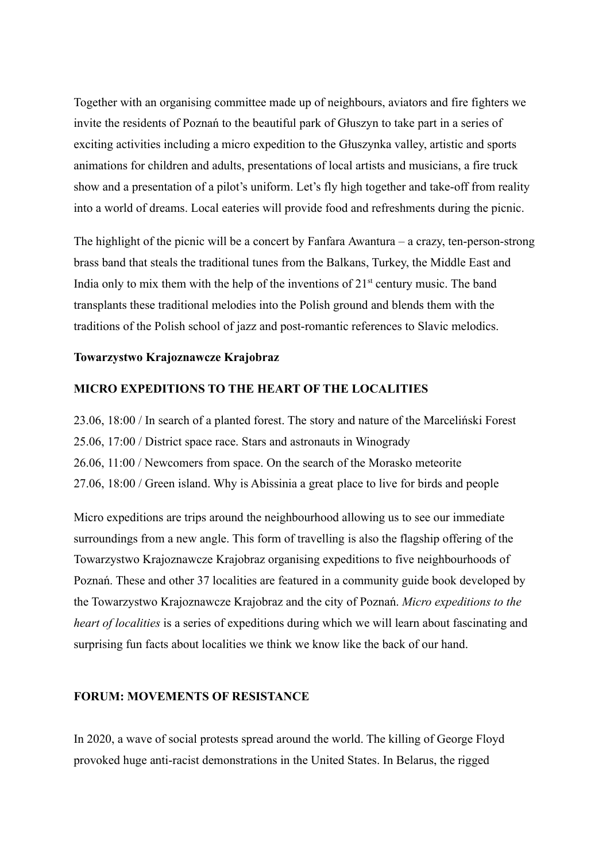Together with an organising committee made up of neighbours, aviators and fire fighters we invite the residents of Poznań to the beautiful park of Głuszyn to take part in a series of exciting activities including a micro expedition to the Głuszynka valley, artistic and sports animations for children and adults, presentations of local artists and musicians, a fire truck show and a presentation of a pilot's uniform. Let's fly high together and take-off from reality into a world of dreams. Local eateries will provide food and refreshments during the picnic.

The highlight of the picnic will be a concert by Fanfara Awantura – a crazy, ten-person-strong brass band that steals the traditional tunes from the Balkans, Turkey, the Middle East and India only to mix them with the help of the inventions of  $21<sup>st</sup>$  century music. The band transplants these traditional melodies into the Polish ground and blends them with the traditions of the Polish school of jazz and post-romantic references to Slavic melodics.

### **Towarzystwo Krajoznawcze Krajobraz**

### **MICRO EXPEDITIONS TO THE HEART OF THE LOCALITIES**

23.06, 18:00 / In search of a planted forest. The story and nature of the Marceliński Forest 25.06, 17:00 / District space race. Stars and astronauts in Winogrady 26.06, 11:00 / Newcomers from space. On the search of the Morasko meteorite 27.06, 18:00 / Green island. Why is Abissinia a great place to live for birds and people

Micro expeditions are trips around the neighbourhood allowing us to see our immediate surroundings from a new angle. This form of travelling is also the flagship offering of the Towarzystwo Krajoznawcze Krajobraz organising expeditions to five neighbourhoods of Poznań. These and other 37 localities are featured in a community guide book developed by the Towarzystwo Krajoznawcze Krajobraz and the city of Poznań. *Micro expeditions to the heart of localities* is a series of expeditions during which we will learn about fascinating and surprising fun facts about localities we think we know like the back of our hand.

### **FORUM: MOVEMENTS OF RESISTANCE**

In 2020, a wave of social protests spread around the world. The killing of George Floyd provoked huge anti-racist demonstrations in the United States. In Belarus, the rigged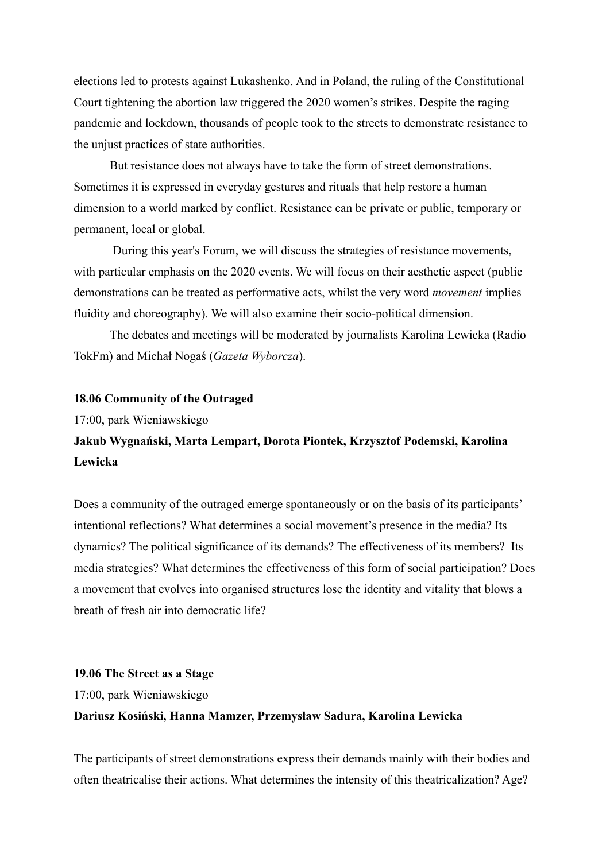elections led to protests against Lukashenko. And in Poland, the ruling of the Constitutional Court tightening the abortion law triggered the 2020 women's strikes. Despite the raging pandemic and lockdown, thousands of people took to the streets to demonstrate resistance to the unjust practices of state authorities.

But resistance does not always have to take the form of street demonstrations. Sometimes it is expressed in everyday gestures and rituals that help restore a human dimension to a world marked by conflict. Resistance can be private or public, temporary or permanent, local or global.

During this year's Forum, we will discuss the strategies of resistance movements, with particular emphasis on the 2020 events. We will focus on their aesthetic aspect (public demonstrations can be treated as performative acts, whilst the very word *movement* implies fluidity and choreography). We will also examine their socio-political dimension.

The debates and meetings will be moderated by journalists Karolina Lewicka (Radio TokFm) and Michał Nogaś (*Gazeta Wyborcza*).

### **18.06 Community of the Outraged**

17:00, park Wieniawskiego

## **Jakub Wygnański, Marta Lempart, Dorota Piontek, Krzysztof Podemski, Karolina Lewicka**

Does a community of the outraged emerge spontaneously or on the basis of its participants' intentional reflections? What determines a social movement's presence in the media? Its dynamics? The political significance of its demands? The effectiveness of its members? Its media strategies? What determines the effectiveness of this form of social participation? Does a movement that evolves into organised structures lose the identity and vitality that blows a breath of fresh air into democratic life?

#### **19.06 The Street as a Stage**

17:00, park Wieniawskiego **Dariusz Kosiński, Hanna Mamzer, Przemysław Sadura, Karolina Lewicka**

The participants of street demonstrations express their demands mainly with their bodies and often theatricalise their actions. What determines the intensity of this theatricalization? Age?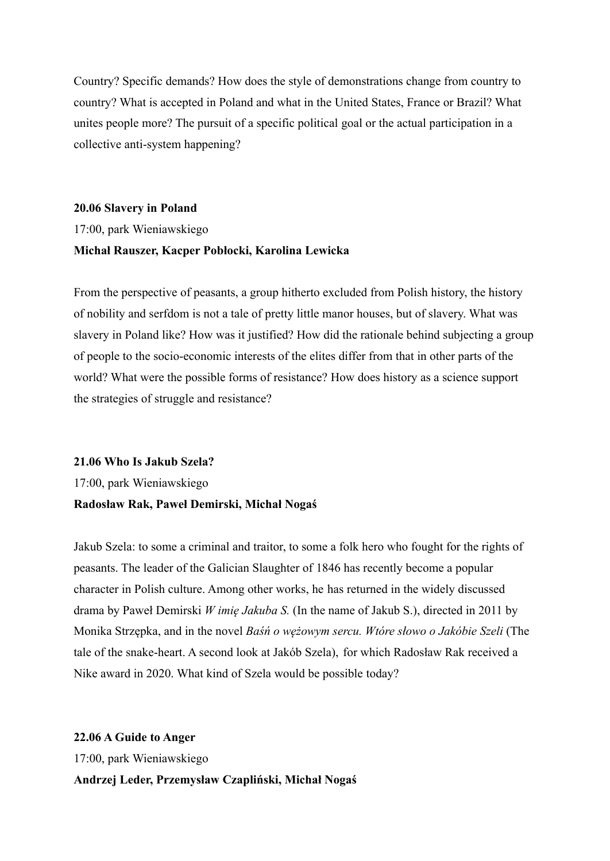Country? Specific demands? How does the style of demonstrations change from country to country? What is accepted in Poland and what in the United States, France or Brazil? What unites people more? The pursuit of a specific political goal or the actual participation in a collective anti-system happening?

## **20.06 Slavery in Poland** 17:00, park Wieniawskiego **Michał Rauszer, Kacper Pobłocki, Karolina Lewicka**

From the perspective of peasants, a group hitherto excluded from Polish history, the history of nobility and serfdom is not a tale of pretty little manor houses, but of slavery. What was slavery in Poland like? How was it justified? How did the rationale behind subjecting a group of people to the socio-economic interests of the elites differ from that in other parts of the world? What were the possible forms of resistance? How does history as a science support the strategies of struggle and resistance?

### **21.06 Who Is Jakub Szela?**

17:00, park Wieniawskiego

### **Radosław Rak, Paweł Demirski, Michał Nogaś**

Jakub Szela: to some a criminal and traitor, to some a folk hero who fought for the rights of peasants. The leader of the Galician Slaughter of 1846 has recently become a popular character in Polish culture. Among other works, he has returned in the widely discussed drama by Paweł Demirski *W imię Jakuba S.* (In the name of Jakub S.), directed in 2011 by Monika Strzępka, and in the novel *Baśń o wężowym sercu. Wtóre słowo o Jakóbie Szeli* (The tale of the snake-heart. A second look at Jakób Szela), for which Radosław Rak received a Nike award in 2020. What kind of Szela would be possible today?

**22.06 A Guide to Anger** 17:00, park Wieniawskiego **Andrzej Leder, Przemysław Czapliński, Michał Nogaś**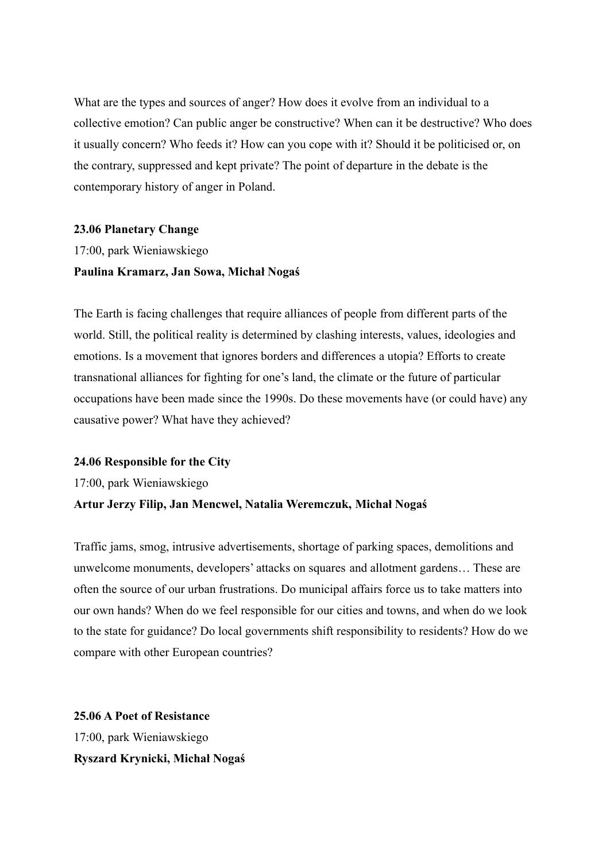What are the types and sources of anger? How does it evolve from an individual to a collective emotion? Can public anger be constructive? When can it be destructive? Who does it usually concern? Who feeds it? How can you cope with it? Should it be politicised or, on the contrary, suppressed and kept private? The point of departure in the debate is the contemporary history of anger in Poland.

### **23.06 Planetary Change**

17:00, park Wieniawskiego **Paulina Kramarz, Jan Sowa, Michał Nogaś**

The Earth is facing challenges that require alliances of people from different parts of the world. Still, the political reality is determined by clashing interests, values, ideologies and emotions. Is a movement that ignores borders and differences a utopia? Efforts to create transnational alliances for fighting for one's land, the climate or the future of particular occupations have been made since the 1990s. Do these movements have (or could have) any causative power? What have they achieved?

### **24.06 Responsible for the City**

17:00, park Wieniawskiego

### **Artur Jerzy Filip, Jan Mencwel, Natalia Weremczuk, Michał Nogaś**

Traffic jams, smog, intrusive advertisements, shortage of parking spaces, demolitions and unwelcome monuments, developers' attacks on squares and allotment gardens… These are often the source of our urban frustrations. Do municipal affairs force us to take matters into our own hands? When do we feel responsible for our cities and towns, and when do we look to the state for guidance? Do local governments shift responsibility to residents? How do we compare with other European countries?

**25.06 A Poet of Resistance** 17:00, park Wieniawskiego **Ryszard Krynicki, Michał Nogaś**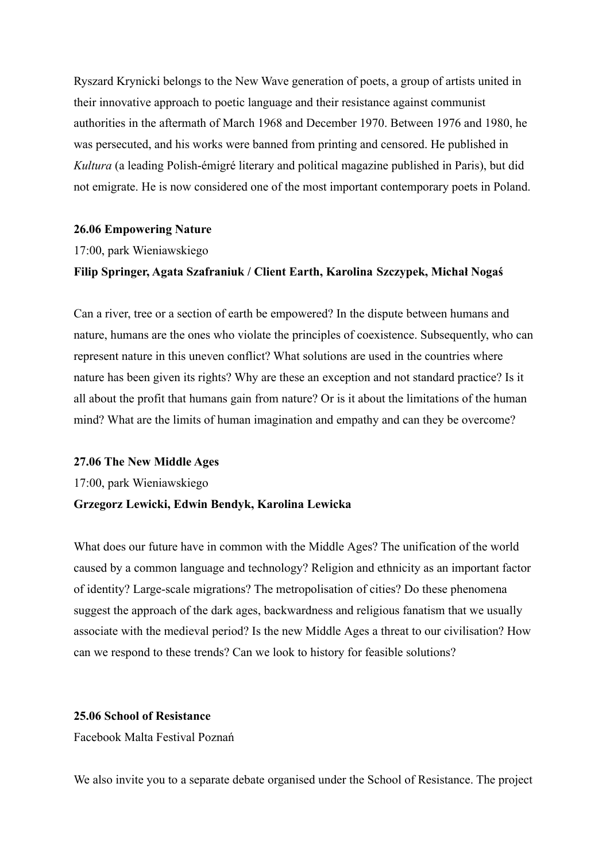Ryszard Krynicki belongs to the New Wave generation of poets, a group of artists united in their innovative approach to poetic language and their resistance against communist authorities in the aftermath of March 1968 and December 1970. Between 1976 and 1980, he was persecuted, and his works were banned from printing and censored. He published in *Kultura* (a leading Polish-émigré literary and political magazine published in Paris), but did not emigrate. He is now considered one of the most important contemporary poets in Poland.

#### **26.06 Empowering Nature**

17:00, park Wieniawskiego

### **Filip Springer, Agata Szafraniuk / Client Earth, Karolina Szczypek, Michał Nogaś**

Can a river, tree or a section of earth be empowered? In the dispute between humans and nature, humans are the ones who violate the principles of coexistence. Subsequently, who can represent nature in this uneven conflict? What solutions are used in the countries where nature has been given its rights? Why are these an exception and not standard practice? Is it all about the profit that humans gain from nature? Or is it about the limitations of the human mind? What are the limits of human imagination and empathy and can they be overcome?

#### **27.06 The New Middle Ages**

17:00, park Wieniawskiego

### **Grzegorz Lewicki, Edwin Bendyk, Karolina Lewicka**

What does our future have in common with the Middle Ages? The unification of the world caused by a common language and technology? Religion and ethnicity as an important factor of identity? Large-scale migrations? The metropolisation of cities? Do these phenomena suggest the approach of the dark ages, backwardness and religious fanatism that we usually associate with the medieval period? Is the new Middle Ages a threat to our civilisation? How can we respond to these trends? Can we look to history for feasible solutions?

### **25.06 School of Resistance**

Facebook Malta Festival Poznań

We also invite you to a separate debate organised under the School of Resistance. The project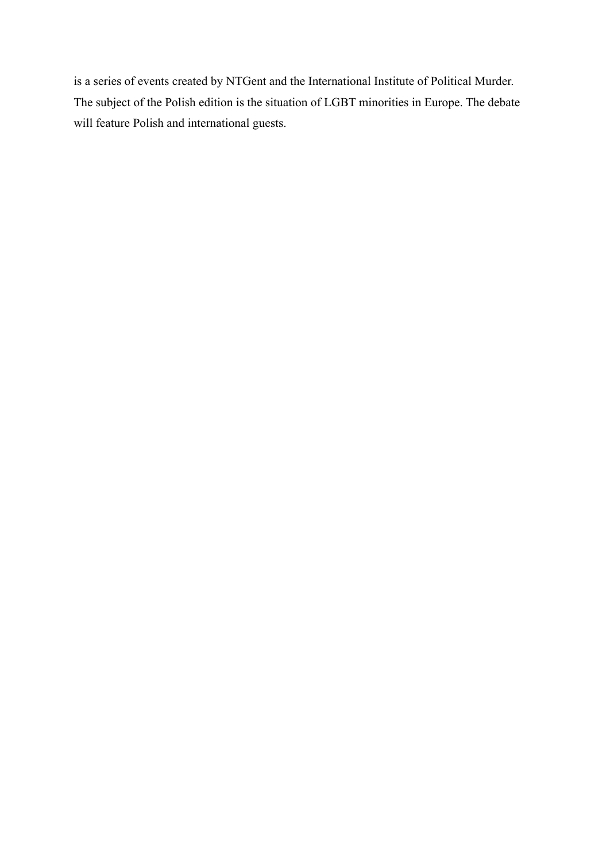is a series of events created by NTGent and the International Institute of Political Murder. The subject of the Polish edition is the situation of LGBT minorities in Europe. The debate will feature Polish and international guests.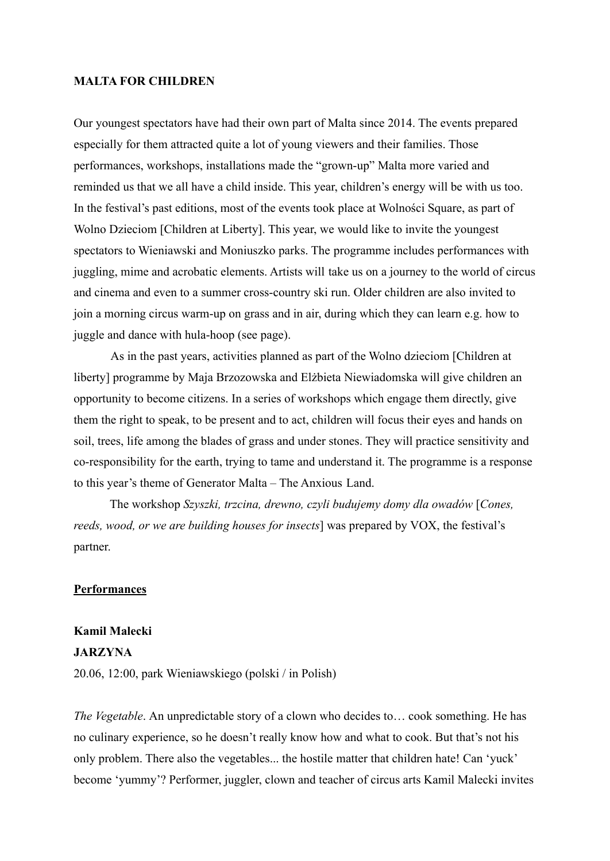### **MALTA FOR CHILDREN**

Our youngest spectators have had their own part of Malta since 2014. The events prepared especially for them attracted quite a lot of young viewers and their families. Those performances, workshops, installations made the "grown-up" Malta more varied and reminded us that we all have a child inside. This year, children's energy will be with us too. In the festival's past editions, most of the events took place at Wolności Square, as part of Wolno Dzieciom [Children at Liberty]. This year, we would like to invite the youngest spectators to Wieniawski and Moniuszko parks. The programme includes performances with juggling, mime and acrobatic elements. Artists will take us on a journey to the world of circus and cinema and even to a summer cross-country ski run. Older children are also invited to join a morning circus warm-up on grass and in air, during which they can learn e.g. how to juggle and dance with hula-hoop (see page).

As in the past years, activities planned as part of the Wolno dzieciom [Children at liberty] programme by Maja Brzozowska and Elżbieta Niewiadomska will give children an opportunity to become citizens. In a series of workshops which engage them directly, give them the right to speak, to be present and to act, children will focus their eyes and hands on soil, trees, life among the blades of grass and under stones. They will practice sensitivity and co-responsibility for the earth, trying to tame and understand it. The programme is a response to this year's theme of Generator Malta – The Anxious Land.

The workshop *Szyszki, trzcina, drewno, czyli budujemy domy dla owadów* [*Cones, reeds, wood, or we are building houses for insects*] was prepared by VOX, the festival's partner.

### **Performances**

### **Kamil Malecki JARZYNA**

20.06, 12:00, park Wieniawskiego (polski / in Polish)

*The Vegetable*. An unpredictable story of a clown who decides to… cook something. He has no culinary experience, so he doesn't really know how and what to cook. But that's not his only problem. There also the vegetables... the hostile matter that children hate! Can 'yuck' become 'yummy'? Performer, juggler, clown and teacher of circus arts Kamil Malecki invites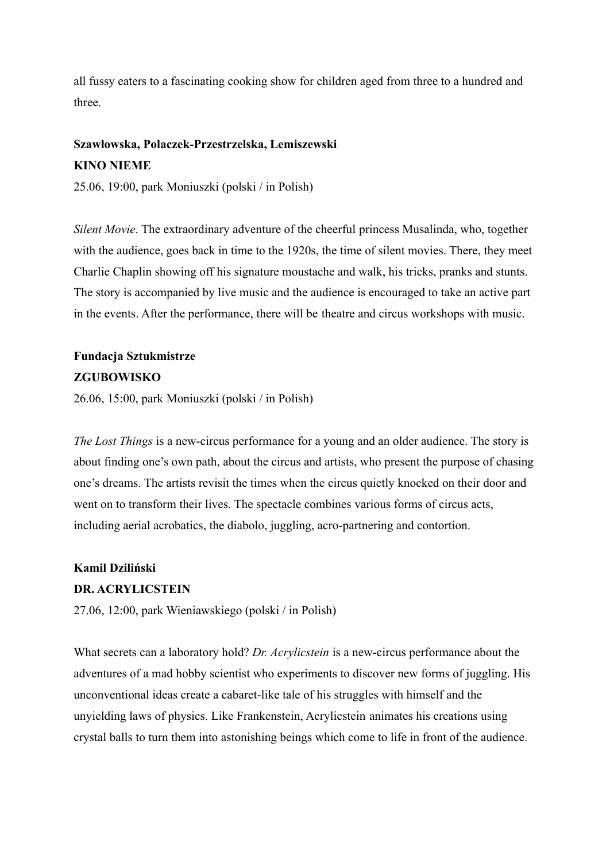all fussy eaters to a fascinating cooking show for children aged from three to a hundred and three.

## **Szawłowska, Polaczek-Przestrzelska, Lemiszewski KINO NIEME**

25.06, 19:00, park Moniuszki (polski / in Polish)

*Silent Movie*. The extraordinary adventure of the cheerful princess Musalinda, who, together with the audience, goes back in time to the 1920s, the time of silent movies. There, they meet Charlie Chaplin showing off his signature moustache and walk, his tricks, pranks and stunts. The story is accompanied by live music and the audience is encouraged to take an active part in the events. After the performance, there will be theatre and circus workshops with music.

## **Fundacja Sztukmistrze ZGUBOWISKO**

26.06, 15:00, park Moniuszki (polski / in Polish)

*The Lost Things* is a new-circus performance for a young and an older audience. The story is about finding one's own path, about the circus and artists, who present the purpose of chasing one's dreams. The artists revisit the times when the circus quietly knocked on their door and went on to transform their lives. The spectacle combines various forms of circus acts, including aerial acrobatics, the diabolo, juggling, acro-partnering and contortion.

### **Kamil Dziliński**

### **DR. ACRYLICSTEIN**

27.06, 12:00, park Wieniawskiego (polski / in Polish)

What secrets can a laboratory hold? *Dr. Acrylicstein* is a new-circus performance about the adventures of a mad hobby scientist who experiments to discover new forms of juggling. His unconventional ideas create a cabaret-like tale of his struggles with himself and the unyielding laws of physics. Like Frankenstein, Acrylicstein animates his creations using crystal balls to turn them into astonishing beings which come to life in front of the audience.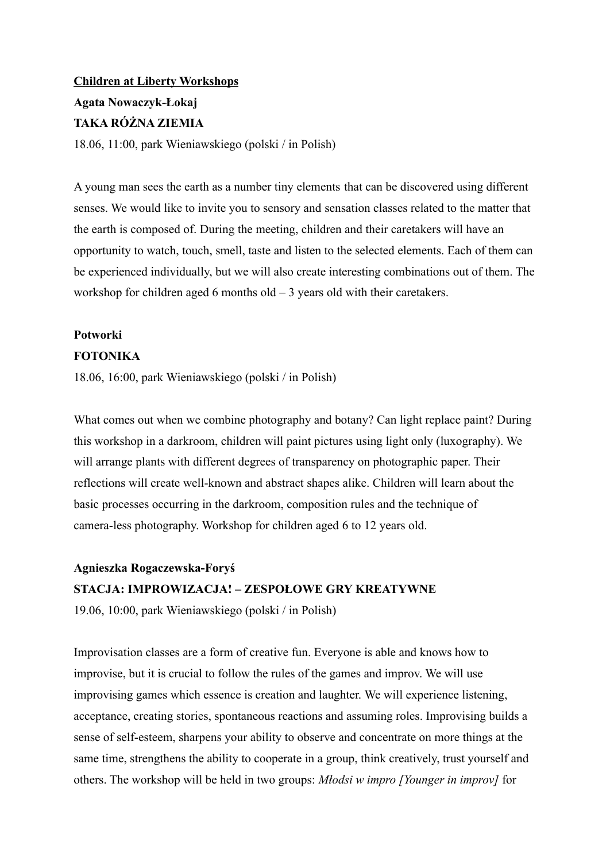# **Children at Liberty Workshops Agata Nowaczyk-Łokaj TAKA RÓŻNA ZIEMIA**

18.06, 11:00, park Wieniawskiego (polski / in Polish)

A young man sees the earth as a number tiny elements that can be discovered using different senses. We would like to invite you to sensory and sensation classes related to the matter that the earth is composed of. During the meeting, children and their caretakers will have an opportunity to watch, touch, smell, taste and listen to the selected elements. Each of them can be experienced individually, but we will also create interesting combinations out of them. The workshop for children aged 6 months old  $-3$  years old with their caretakers.

## **Potworki**

### **FOTONIKA**

18.06, 16:00, park Wieniawskiego (polski / in Polish)

What comes out when we combine photography and botany? Can light replace paint? During this workshop in a darkroom, children will paint pictures using light only (luxography). We will arrange plants with different degrees of transparency on photographic paper. Their reflections will create well-known and abstract shapes alike. Children will learn about the basic processes occurring in the darkroom, composition rules and the technique of camera-less photography. Workshop for children aged 6 to 12 years old.

# **Agnieszka Rogaczewska-Foryś STACJA: IMPROWIZACJA! – ZESPOŁOWE GRY KREATYWNE**

19.06, 10:00, park Wieniawskiego (polski / in Polish)

Improvisation classes are a form of creative fun. Everyone is able and knows how to improvise, but it is crucial to follow the rules of the games and improv. We will use improvising games which essence is creation and laughter. We will experience listening, acceptance, creating stories, spontaneous reactions and assuming roles. Improvising builds a sense of self-esteem, sharpens your ability to observe and concentrate on more things at the same time, strengthens the ability to cooperate in a group, think creatively, trust yourself and others. The workshop will be held in two groups: *Młodsi w impro [Younger in improv]* for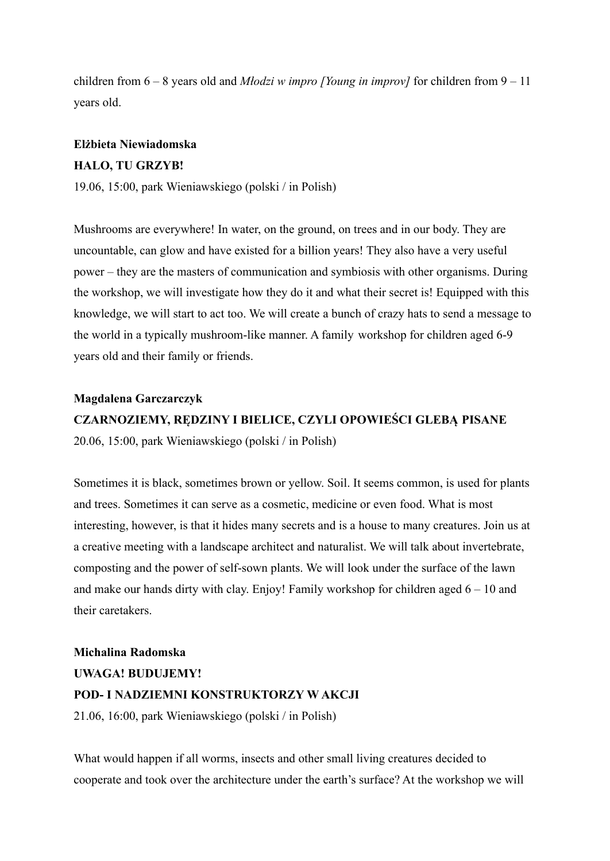children from 6 – 8 years old and *Młodzi w impro [Young in improv]* for children from 9 – 11 years old.

## **Elżbieta Niewiadomska HALO, TU GRZYB!**

19.06, 15:00, park Wieniawskiego (polski / in Polish)

Mushrooms are everywhere! In water, on the ground, on trees and in our body. They are uncountable, can glow and have existed for a billion years! They also have a very useful power – they are the masters of communication and symbiosis with other organisms. During the workshop, we will investigate how they do it and what their secret is! Equipped with this knowledge, we will start to act too. We will create a bunch of crazy hats to send a message to the world in a typically mushroom-like manner. A family workshop for children aged 6-9 years old and their family or friends.

### **Magdalena Garczarczyk**

## **CZARNOZIEMY, RĘDZINY I BIELICE, CZYLI OPOWIEŚCI GLEBĄ PISANE** 20.06, 15:00, park Wieniawskiego (polski / in Polish)

Sometimes it is black, sometimes brown or yellow. Soil. It seems common, is used for plants and trees. Sometimes it can serve as a cosmetic, medicine or even food. What is most interesting, however, is that it hides many secrets and is a house to many creatures. Join us at a creative meeting with a landscape architect and naturalist. We will talk about invertebrate, composting and the power of self-sown plants. We will look under the surface of the lawn and make our hands dirty with clay. Enjoy! Family workshop for children aged  $6 - 10$  and their caretakers.

**Michalina Radomska UWAGA! BUDUJEMY! POD- I NADZIEMNI KONSTRUKTORZY W AKCJI** 21.06, 16:00, park Wieniawskiego (polski / in Polish)

What would happen if all worms, insects and other small living creatures decided to cooperate and took over the architecture under the earth's surface? At the workshop we will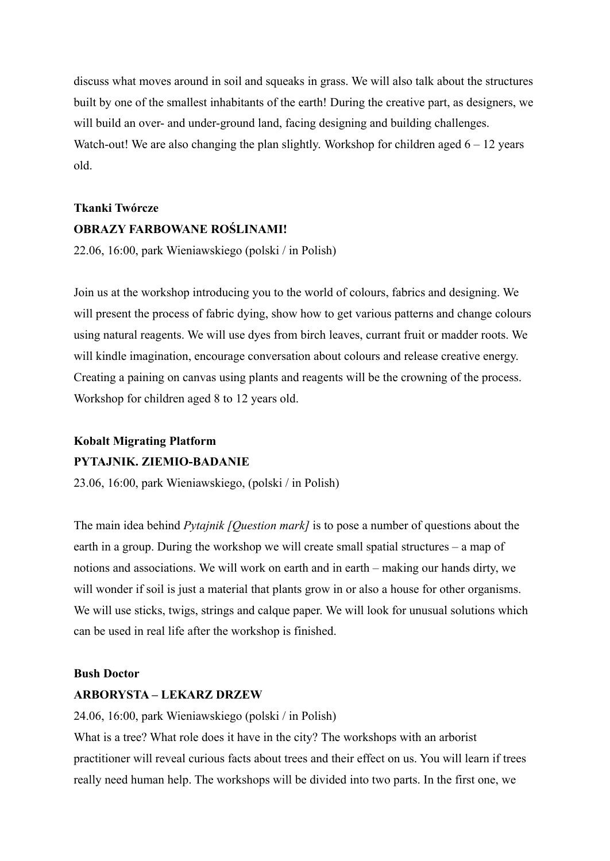discuss what moves around in soil and squeaks in grass. We will also talk about the structures built by one of the smallest inhabitants of the earth! During the creative part, as designers, we will build an over- and under-ground land, facing designing and building challenges. Watch-out! We are also changing the plan slightly. Workshop for children aged  $6 - 12$  years old.

## **Tkanki Twórcze OBRAZY FARBOWANE ROŚLINAMI!**

22.06, 16:00, park Wieniawskiego (polski / in Polish)

Join us at the workshop introducing you to the world of colours, fabrics and designing. We will present the process of fabric dying, show how to get various patterns and change colours using natural reagents. We will use dyes from birch leaves, currant fruit or madder roots. We will kindle imagination, encourage conversation about colours and release creative energy. Creating a paining on canvas using plants and reagents will be the crowning of the process. Workshop for children aged 8 to 12 years old.

### **Kobalt Migrating Platform PYTAJNIK. ZIEMIO-BADANIE**

23.06, 16:00, park Wieniawskiego, (polski / in Polish)

The main idea behind *Pytajnik [Question mark]* is to pose a number of questions about the earth in a group. During the workshop we will create small spatial structures – a map of notions and associations. We will work on earth and in earth – making our hands dirty, we will wonder if soil is just a material that plants grow in or also a house for other organisms. We will use sticks, twigs, strings and calque paper. We will look for unusual solutions which can be used in real life after the workshop is finished.

### **Bush Doctor**

### **ARBORYSTA – LEKARZ DRZEW**

24.06, 16:00, park Wieniawskiego (polski / in Polish)

What is a tree? What role does it have in the city? The workshops with an arborist practitioner will reveal curious facts about trees and their effect on us. You will learn if trees really need human help. The workshops will be divided into two parts. In the first one, we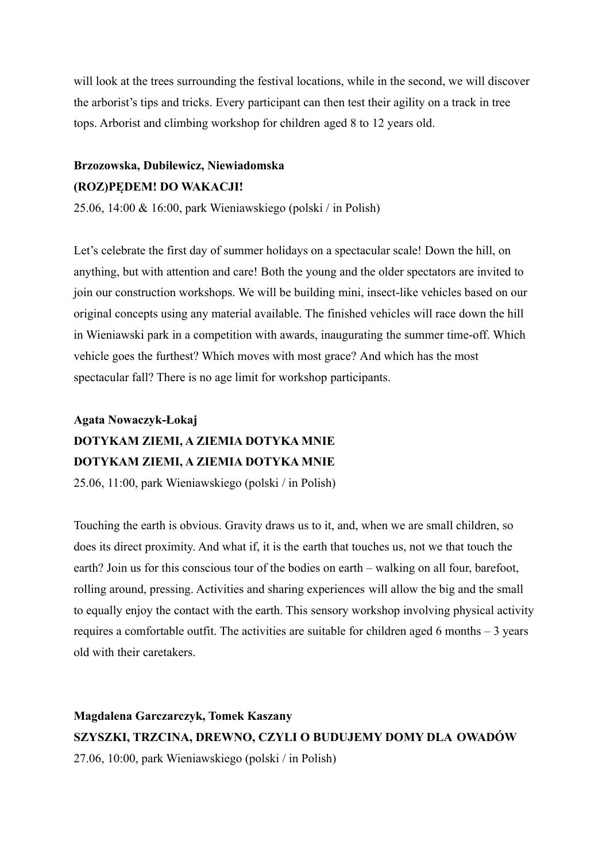will look at the trees surrounding the festival locations, while in the second, we will discover the arborist's tips and tricks. Every participant can then test their agility on a track in tree tops. Arborist and climbing workshop for children aged 8 to 12 years old.

## **Brzozowska, Dubilewicz, Niewiadomska (ROZ)PĘDEM! DO WAKACJI!**

25.06, 14:00 & 16:00, park Wieniawskiego (polski / in Polish)

Let's celebrate the first day of summer holidays on a spectacular scale! Down the hill, on anything, but with attention and care! Both the young and the older spectators are invited to join our construction workshops. We will be building mini, insect-like vehicles based on our original concepts using any material available. The finished vehicles will race down the hill in Wieniawski park in a competition with awards, inaugurating the summer time-off. Which vehicle goes the furthest? Which moves with most grace? And which has the most spectacular fall? There is no age limit for workshop participants.

## **Agata Nowaczyk-Łokaj DOTYKAM ZIEMI, A ZIEMIA DOTYKA MNIE DOTYKAM ZIEMI, A ZIEMIA DOTYKA MNIE**

25.06, 11:00, park Wieniawskiego (polski / in Polish)

Touching the earth is obvious. Gravity draws us to it, and, when we are small children, so does its direct proximity. And what if, it is the earth that touches us, not we that touch the earth? Join us for this conscious tour of the bodies on earth – walking on all four, barefoot, rolling around, pressing. Activities and sharing experiences will allow the big and the small to equally enjoy the contact with the earth. This sensory workshop involving physical activity requires a comfortable outfit. The activities are suitable for children aged 6 months – 3 years old with their caretakers.

**Magdalena Garczarczyk, Tomek Kaszany SZYSZKI, TRZCINA, DREWNO, CZYLI O BUDUJEMY DOMY DLA OWADÓW** 27.06, 10:00, park Wieniawskiego (polski / in Polish)